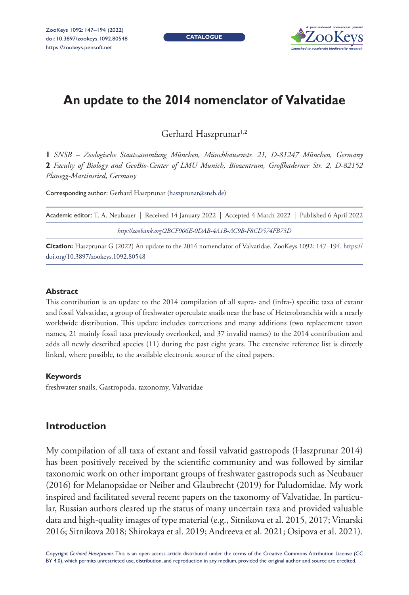**CATALOGUE**



# **An update to the 2014 nomenclator of Valvatidae**

Gerhard Haszprunar<sup>1,2</sup>

**1** *SNSB – Zoologische Staatssammlung München, Münchhausenstr. 21, D-81247 München, Germany*  **2** *Faculty of Biology and GeoBio-Center of LMU Munich, Biozentrum, Großhaderner Str. 2, D-82152 Planegg-Martinsried, Germany*

Corresponding author: Gerhard Haszprunar ([haszprunar@snsb.de](mailto:haszprunar@snsb.de))

| Academic editor: T. A. Neubauer   Received 14 January 2022   Accepted 4 March 2022   Published 6 April 2022 |
|-------------------------------------------------------------------------------------------------------------|
| http://zoobank.org/2BCF906E-0DAB-4A1B-AC9B-F8CD574FB73D                                                     |
|                                                                                                             |

**Citation:** Haszprunar G (2022) An update to the 2014 nomenclator of Valvatidae. ZooKeys 1092: 147–194. [https://](https://doi.org/10.3897/zookeys.1092.80548) [doi.org/10.3897/zookeys.1092.80548](https://doi.org/10.3897/zookeys.1092.80548)

#### **Abstract**

This contribution is an update to the 2014 compilation of all supra- and (infra-) specific taxa of extant and fossil Valvatidae, a group of freshwater operculate snails near the base of Heterobranchia with a nearly worldwide distribution. This update includes corrections and many additions (two replacement taxon names, 21 mainly fossil taxa previously overlooked, and 37 invalid names) to the 2014 contribution and adds all newly described species (11) during the past eight years. The extensive reference list is directly linked, where possible, to the available electronic source of the cited papers.

### **Keywords**

freshwater snails, Gastropoda, taxonomy, Valvatidae

# **Introduction**

My compilation of all taxa of extant and fossil valvatid gastropods (Haszprunar 2014) has been positively received by the scientific community and was followed by similar taxonomic work on other important groups of freshwater gastropods such as Neubauer (2016) for Melanopsidae or Neiber and Glaubrecht (2019) for Paludomidae. My work inspired and facilitated several recent papers on the taxonomy of Valvatidae. In particular, Russian authors cleared up the status of many uncertain taxa and provided valuable data and high-quality images of type material (e.g., Sitnikova et al. 2015, 2017; Vinarski 2016; Sitnikova 2018; Shirokaya et al. 2019; Andreeva et al. 2021; Osipova et al. 2021).

Copyright *Gerhard Haszprunar.* This is an open access article distributed under the terms of the [Creative Commons Attribution License \(CC](http://creativecommons.org/licenses/by/4.0/)  [BY 4.0\)](http://creativecommons.org/licenses/by/4.0/), which permits unrestricted use, distribution, and reproduction in any medium, provided the original author and source are credited.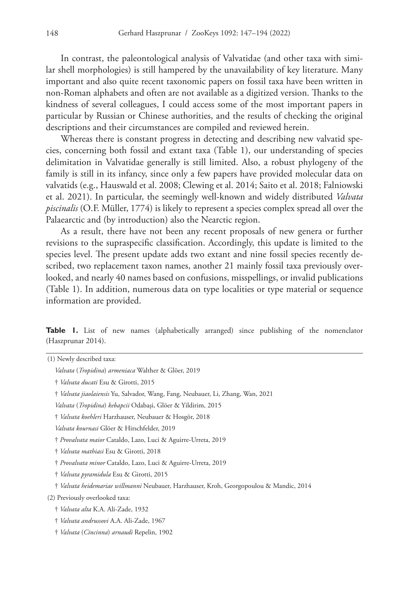In contrast, the paleontological analysis of Valvatidae (and other taxa with similar shell morphologies) is still hampered by the unavailability of key literature. Many important and also quite recent taxonomic papers on fossil taxa have been written in non-Roman alphabets and often are not available as a digitized version. Thanks to the kindness of several colleagues, I could access some of the most important papers in particular by Russian or Chinese authorities, and the results of checking the original descriptions and their circumstances are compiled and reviewed herein.

Whereas there is constant progress in detecting and describing new valvatid species, concerning both fossil and extant taxa (Table 1), our understanding of species delimitation in Valvatidae generally is still limited. Also, a robust phylogeny of the family is still in its infancy, since only a few papers have provided molecular data on valvatids (e.g., Hauswald et al. 2008; Clewing et al. 2014; Saito et al. 2018; Falniowski et al. 2021). In particular, the seemingly well-known and widely distributed *Valvata piscinalis* (O.F. Müller, 1774) is likely to represent a species complex spread all over the Palaearctic and (by introduction) also the Nearctic region.

As a result, there have not been any recent proposals of new genera or further revisions to the supraspecific classification. Accordingly, this update is limited to the species level. The present update adds two extant and nine fossil species recently described, two replacement taxon names, another 21 mainly fossil taxa previously overlooked, and nearly 40 names based on confusions, misspellings, or invalid publications (Table 1). In addition, numerous data on type localities or type material or sequence information are provided.

**Table 1.** List of new names (alphabetically arranged) since publishing of the nomenclator (Haszprunar 2014).

| (1) Newly described taxa:                                                               |
|-----------------------------------------------------------------------------------------|
| Valvata (Tropidina) armeniaca Walther & Glöer, 2019                                     |
| † <i>Valvata ducati</i> Esu & Girotti, 2015                                             |
| † <i>Valvata jiaolaiensis</i> Yu, Salvador, Wang, Fang, Neubauer, Li, Zhang, Wan, 2021  |
| Valvata (Tropidina) kebapcii Odabaşi, Glöer & Yildirim, 2015                            |
| † Valvata koehleri Harzhauser, Neubauer & Hosgör, 2018                                  |
| Valvata kournasi Glöer & Hirschfelder, 2019                                             |
| † Provalvata maior Cataldo, Lazo, Luci & Aguirre-Urreta, 2019                           |
| † <i>Valvata mathiasi</i> Esu & Girotti, 2018                                           |
| † Provalvata minor Cataldo, Lazo, Luci & Aguirre-Urreta, 2019                           |
| † <i>Valvata pyramidula</i> Esu & Girotti, 2015                                         |
| † Valvata heidemariae willmanni Neubauer, Harzhauser, Kroh, Georgopoulou & Mandic, 2014 |
| (2) Previously overlooked taxa:                                                         |
| † <i>Valvata alta</i> K.A. Ali-Zade, 1932                                               |
| † <i>Valvata andrussovi</i> A.A. Ali-Zade, 1967                                         |
| † <i>Valvata (Cincinna) arnaudi</i> Repelin, 1902                                       |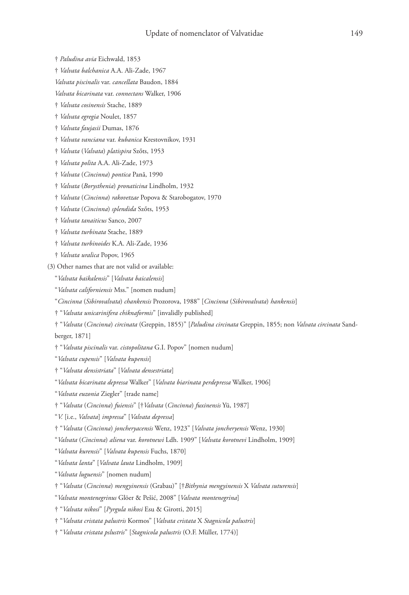- † *Paludina avia* Eichwald, 1853
- † *Valvata balchanica* A.A. Ali-Zade, 1967
- *Valvata piscinalis* var. *cancellata* Baudon, 1884
- *Valvata bicarinata* var. *connectans* Walker, 1906
- † *Valvata cosinensis* Stache, 1889
- † *Valvata egregia* Noulet, 1857
- † *Valvata faujasii* Dumas, 1876
- † *Valvata vanciana* var. *kubanica* Krestovnikov, 1931
- † *Valvata* (*Valvata*) *platispira* Szőts, 1953
- † *Valvata polita* A.A. Ali-Zade, 1973
- † *Valvata* (*Cincinna*) *pontica* Pană, 1990
- † *Valvata* (*Borysthenia*) *pronaticina* Lindholm, 1932
- † *Valvata* (*Cincinna*) *rakovetzae* Popova & Starobogatov, 1970
- † *Valvata* (*Cincinna*) *splendida* Szőts, 1953
- † *Valvata tanaiticus* Sanco, 2007
- † *Valvata turbinata* Stache, 1889
- † *Valvata turbinoides* K.A. Ali-Zade, 1936
- † *Valvata uralica* Popov, 1965
- (3) Other names that are not valid or available:
	- "*Valvata baikalensis*" [*Valvata baicalensis*]
	- "*Valvata californiensis* Mss." [nomen nudum]
	- "*Cincinna* (*Sibirovalvata*) *chankensis* Prozorova, 1988" [*Cincinna* (*Sibirovalvata*) *hankensis*]
	- † "*Valvata unicarinifera chiknaformis*" [invalidly published]
	- † "*Valvata* (*Cincinna*) *circinata* (Greppin, 1855)" [*Paludina circinata* Greppin, 1855; non *Valvata circinata* Sandberger, 1871]
	- † "*Valvata piscinalis* var. *cistopolitana* G.I. Popov" [nomen nudum]
	- "*Valvata cupensis*" [*Valvata kupensis*]
	- † "*Valvata densistriata*" [*Valvata densestriata*]
	- "*Valvata bicarinata depressa* Walker" [*Valvata biarinata perdepressa* Walker, 1906]
	- "*Valvata euzonia* Ziegler" [trade name]
	- † "*Valvata* (*Cincinna*) *fuiensis*" [†*Valvata* (*Cincinna*) *fuxinensis* Yü, 1987]
	- "*V.* [i.e., *Valvata*] *impressa*" [*Valvata depressa*]
	- † "*Valvata* (*Cincinna*) *joncheryacensis* Wenz, 1923" [*Valvata joncheryensis* Wenz, 1930]
	- "*Valvata* (*Cincinna*) *aliena* var. *korotnewi* Ldh. 1909" [*Valvata korotnevi* Lindholm, 1909]
	- "*Valvata kurensis*" [*Valvata kupensis* Fuchs, 1870]
	- "*Valvata lanta*" [*Valvata lauta* Lindholm, 1909]
	- "*Valvata luguensis*" [nomen nudum]
	- † "*Valvata* (*Cincinna*) *mengyinensis* (Grabau)" [†*Bithynia mengyinensis* X *Valvata suturensis*]
	- "*Valvata montenegrinus* Glöer & Pešić, 2008" [*Valvata montenegrina*]
	- † "*Valvata nikosi*" [*Pyrgula nikosi* Esu & Girotti, 2015]
	- † "*Valvata cristata palustris* Kormos" [*Valvata cristata* X *Stagnicola palustris*]
	- † "*Valvata cristata pslustris*" [*Stagnicola palustris* (O.F. Müller, 1774)]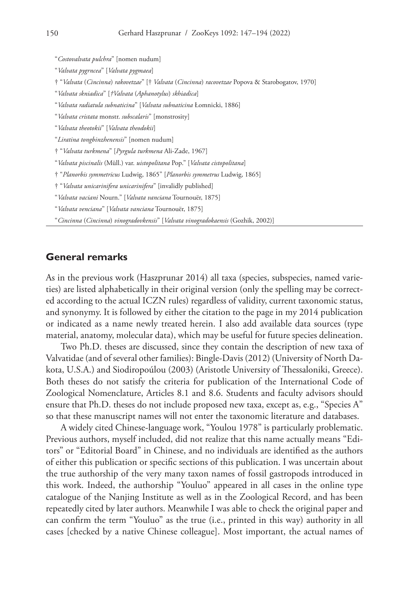"*Costovalvata pulchra*" [nomen nudum]

"*Valvata pygrncea*" [*Valvata pygmaea*]

† "*Valvata* (*Cincinna*) *rakovetzae*" [† *Valvata* (*Cincinna*) *racovetzae* Popova & Starobogatov, 1970]

"*Valvata skniadica*" [*†Valvata* (*Aphanotylus*) *skhiadica*]

"*Valvata radiatula subnaticina*" [*Valvata subnaticina* Łomnicki, 1886]

"*Valvata cristata* monstr. *subscalaris*" [monstrosity]

"*Valvata theotokii*" [*Valvata theodokii*]

"*Liratina tongbinzhenensis*" [nomen nudum]

† "*Valvata turkmena*" [*Pyrgula turkmena* Ali-Zade, 1967]

"*Valvata piscinalis* (Müll.) var. *uistopolitana* Pop." [*Valvata cistopolitana*]

† "*Planorbis symmetricus* Ludwig, 1865" [*Planorbis symmetrus* Ludwig, 1865]

† "*Valvata unicarinifera unicarinifera*" [invalidly published]

"*Valvata vaciani* Nourn." [*Valvata vanciana* Tournouër, 1875]

"*Valvata venciana*" [*Valvata vanciana* Tournouër, 1875]

"*Cincinna* (*Cincinna*) *vinogradovkensis*" [*Valvata vinogradokaensis* (Gozhik, 2002)]

### **General remarks**

As in the previous work (Haszprunar 2014) all taxa (species, subspecies, named varieties) are listed alphabetically in their original version (only the spelling may be corrected according to the actual ICZN rules) regardless of validity, current taxonomic status, and synonymy. It is followed by either the citation to the page in my 2014 publication or indicated as a name newly treated herein. I also add available data sources (type material, anatomy, molecular data), which may be useful for future species delineation.

Two Ph.D. theses are discussed, since they contain the description of new taxa of Valvatidae (and of several other families): Bingle-Davis (2012) (University of North Dakota, U.S.A.) and Siodiropoúlou (2003) (Aristotle University of Thessaloniki, Greece). Both theses do not satisfy the criteria for publication of the International Code of Zoological Nomenclature, Articles 8.1 and 8.6. Students and faculty advisors should ensure that Ph.D. theses do not include proposed new taxa, except as, e.g., "Species A" so that these manuscript names will not enter the taxonomic literature and databases.

A widely cited Chinese-language work, "Youlou 1978" is particularly problematic. Previous authors, myself included, did not realize that this name actually means "Editors" or "Editorial Board" in Chinese, and no individuals are identified as the authors of either this publication or specific sections of this publication. I was uncertain about the true authorship of the very many taxon names of fossil gastropods introduced in this work. Indeed, the authorship "Youluo" appeared in all cases in the online type catalogue of the Nanjing Institute as well as in the Zoological Record, and has been repeatedly cited by later authors. Meanwhile I was able to check the original paper and can confirm the term "Youluo" as the true (i.e., printed in this way) authority in all cases [checked by a native Chinese colleague]. Most important, the actual names of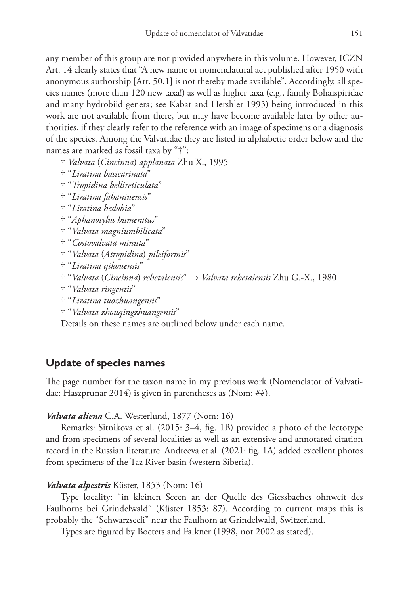any member of this group are not provided anywhere in this volume. However, ICZN Art. 14 clearly states that "A new name or nomenclatural act published after 1950 with anonymous authorship [Art. 50.1] is not thereby made available". Accordingly, all species names (more than 120 new taxa!) as well as higher taxa (e.g., family Bohaispiridae and many hydrobiid genera; see Kabat and Hershler 1993) being introduced in this work are not available from there, but may have become available later by other authorities, if they clearly refer to the reference with an image of specimens or a diagnosis of the species. Among the Valvatidae they are listed in alphabetic order below and the names are marked as fossil taxa by "†":

† *Valvata* (*Cincinna*) *applanata* Zhu X., 1995

† "*Liratina basicarinata*"

† "*Tropidina bellireticulata*"

† "*Liratina fahaniuensis*"

† "*Liratina hedobia*"

† "*Aphanotylus humeratus*"

† "*Valvata magniumbilicata*"

† "*Costovalvata minuta*"

† "*Valvata* (*Atropidina*) *pileiformis*"

† "*Liratina qikouensis*"

† "*Valvata* (*Cincinna*) *rehetaiensis*" → *Valvata rehetaiensis* Zhu G.-X., 1980

† "*Valvata ringentis*"

† "*Liratina tuozhuangensis*"

† "*Valvata zhouqingzhuangensis*"

Details on these names are outlined below under each name.

# **Update of species names**

The page number for the taxon name in my previous work (Nomenclator of Valvatidae: Haszprunar 2014) is given in parentheses as (Nom: ##).

### *Valvata aliena* C.A. Westerlund, 1877 (Nom: 16)

Remarks: Sitnikova et al. (2015: 3–4, fig. 1B) provided a photo of the lectotype and from specimens of several localities as well as an extensive and annotated citation record in the Russian literature. Andreeva et al. (2021: fig. 1A) added excellent photos from specimens of the Taz River basin (western Siberia).

### *Valvata alpestris* Küster, 1853 (Nom: 16)

Type locality: "in kleinen Seeen an der Quelle des Giessbaches ohnweit des Faulhorns bei Grindelwald" (Küster 1853: 87). According to current maps this is probably the "Schwarzseeli" near the Faulhorn at Grindelwald, Switzerland.

Types are figured by Boeters and Falkner (1998, not 2002 as stated).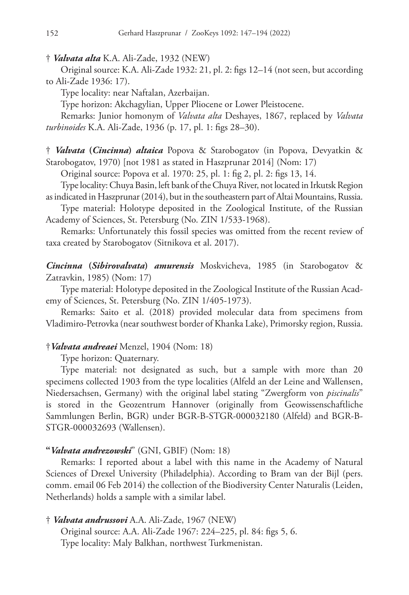† *Valvata alta* K.A. Ali-Zade, 1932 (NEW)

Original source: K.A. Ali-Zade 1932: 21, pl. 2: figs 12–14 (not seen, but according to Ali-Zade 1936: 17).

Type locality: near Naftalan, Azerbaijan.

Type horizon: Akchagylian, Upper Pliocene or Lower Pleistocene.

Remarks: Junior homonym of *Valvata alta* Deshayes, 1867, replaced by *Valvata turbinoides* K.A. Ali-Zade, 1936 (p. 17, pl. 1: figs 28–30).

† *Valvata* **(***Cincinna***)** *altaica* Popova & Starobogatov (in Popova, Devyatkin & Starobogatov, 1970) [not 1981 as stated in Haszprunar 2014] (Nom: 17)

Original source: Popova et al. 1970: 25, pl. 1: fig 2, pl. 2: figs 13, 14.

Type locality: Chuya Basin, left bank of the Chuya River, not located in Irkutsk Region as indicated in Haszprunar (2014), but in the southeastern part of Altai Mountains, Russia.

Type material: Holotype deposited in the Zoological Institute, of the Russian Academy of Sciences, St. Petersburg (No. ZIN 1/533-1968).

Remarks: Unfortunately this fossil species was omitted from the recent review of taxa created by Starobogatov (Sitnikova et al. 2017).

*Cincinna* **(***Sibirovalvata***)** *amurensis* Moskvicheva, 1985 (in Starobogatov & Zatravkin, 1985) (Nom: 17)

Type material: Holotype deposited in the Zoological Institute of the Russian Academy of Sciences, St. Petersburg (No. ZIN 1/405-1973).

Remarks: Saito et al. (2018) provided molecular data from specimens from Vladimiro-Petrovka (near southwest border of Khanka Lake), Primorsky region, Russia.

### †*Valvata andreaei* Menzel, 1904 (Nom: 18)

Type horizon: Quaternary.

Type material: not designated as such, but a sample with more than 20 specimens collected 1903 from the type localities (Alfeld an der Leine and Wallensen, Niedersachsen, Germany) with the original label stating "Zwergform von *piscinalis*" is stored in the Geozentrum Hannover (originally from Geowissenschaftliche Sammlungen Berlin, BGR) under BGR-B-STGR-000032180 (Alfeld) and BGR-B-STGR-000032693 (Wallensen).

### **"***Valvata andrezowski*" (GNI, GBIF) (Nom: 18)

Remarks: I reported about a label with this name in the Academy of Natural Sciences of Drexel University (Philadelphia). According to Bram van der Bijl (pers. comm. email 06 Feb 2014) the collection of the Biodiversity Center Naturalis (Leiden, Netherlands) holds a sample with a similar label.

### † *Valvata andrussovi* A.A. Ali-Zade, 1967 (NEW)

Original source: A.A. Ali-Zade 1967: 224–225, pl. 84: figs 5, 6. Type locality: Maly Balkhan, northwest Turkmenistan.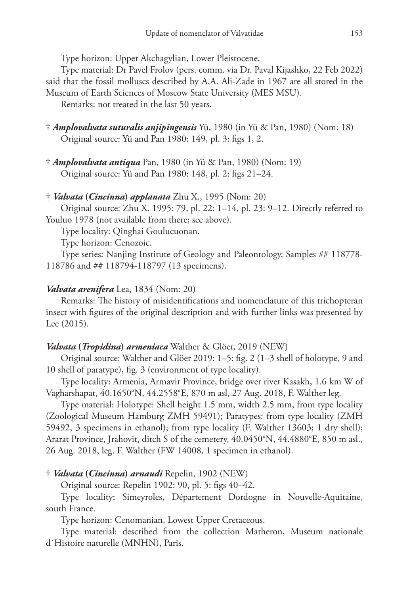Type horizon: Upper Akchagylian, Lower Pleistocene.

Type material: Dr Pavel Frolov (pers. comm. via Dr. Paval Kijashko, 22 Feb 2022) said that the fossil molluscs described by A.A. Ali-Zade in 1967 are all stored in the Museum of Earth Sciences of Moscow State University (MES MSU).

Remarks: not treated in the last 50 years.

- † *Amplovalvata suturalis anjipingensis* Yü, 1980 (in Yü & Pan, 1980) (Nom: 18) Original source: Yü and Pan 1980: 149, pl. 3: figs 1, 2.
- † *Amplovalvata antiqua* Pan, 1980 (in Yü & Pan, 1980) (Nom: 19) Original source: Yü and Pan 1980: 148, pl. 2: figs 21–24.

### † *Valvata* **(***Cincinna***)** *applanata* Zhu X., 1995 (Nom: 20)

Original source: Zhu X. 1995: 79, pl. 22: 1–14, pl. 23: 9–12. Directly referred to Youluo 1978 (not available from there; see above).

Type locality: Qinghai Goulucuonan.

Type horizon: Cenozoic.

Type series: Nanjing Institute of Geology and Paleontology, Samples ## 118778- 118786 and ## 118794-118797 (13 specimens).

### *Valvata arenifera* Lea, 1834 (Nom: 20)

Remarks: The history of misidentifications and nomenclature of this trichopteran insect with figures of the original description and with further links was presented by Lee (2015).

### *Valvata* **(***Tropidina***)** *armeniaca* Walther & Glöer, 2019 (NEW)

Original source: Walther and Glöer 2019: 1–5: fig. 2 (1–3 shell of holotype, 9 and 10 shell of paratype), fig. 3 (environment of type locality).

Type locality: Armenia, Armavir Province, bridge over river Kasakh, 1.6 km W of Vagharshapat, 40.1650°N, 44.2558°E, 870 m asl, 27 Aug. 2018, F. Walther leg.

Type material: Holotype: Shell height 1.5 mm, width 2.5 mm, from type locality (Zoological Museum Hamburg ZMH 59491); Paratypes: from type locality (ZMH 59492, 3 specimens in ethanol); from type locality (F. Walther 13603; 1 dry shell); Ararat Province, Jrahovit, ditch S of the cemetery, 40.0450°N, 44.4880°E, 850 m asl., 26 Aug. 2018, leg. F. Walther (FW 14008, 1 specimen in ethanol).

### † *Valvata* **(***Cincinna***)** *arnaudi* Repelin, 1902 (NEW)

Original source: Repelin 1902: 90, pl. 5: figs 40–42.

Type locality: Simeyroles, Département Dordogne in Nouvelle-Aquitaine, south France.

Type horizon: Cenomanian, Lowest Upper Cretaceous.

Type material: described from the collection Matheron, Museum nationale d´Histoire naturelle (MNHN), Paris.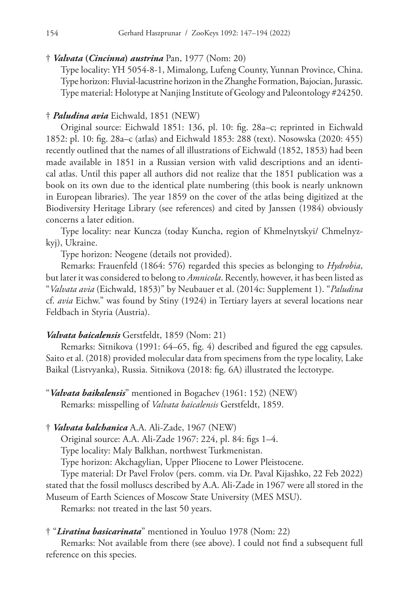† *Valvata* **(***Cincinna***)** *austrina* Pan, 1977 (Nom: 20)

Type locality: YH 5054-8-1, Mimalong, Lufeng County, Yunnan Province, China. Type horizon: Fluvial-lacustrine horizon in the Zhanghe Formation, Bajocian, Jurassic. Type material: Holotype at Nanjing Institute of Geology and Paleontology #24250.

### † *Paludina avia* Eichwald, 1851 (NEW)

Original source: Eichwald 1851: 136, pl. 10: fig. 28a–c; reprinted in Eichwald 1852: pl. 10: fig. 28a–c (atlas) and Eichwald 1853: 288 (text). Nosowska (2020: 455) recently outlined that the names of all illustrations of Eichwald (1852, 1853) had been made available in 1851 in a Russian version with valid descriptions and an identical atlas. Until this paper all authors did not realize that the 1851 publication was a book on its own due to the identical plate numbering (this book is nearly unknown in European libraries). The year 1859 on the cover of the atlas being digitized at the Biodiversity Heritage Library (see references) and cited by Janssen (1984) obviously concerns a later edition.

Type locality: near Kuncza (today Kuncha, region of Khmelnytskyi/ Chmelnyzkyj), Ukraine.

Type horizon: Neogene (details not provided).

Remarks: Frauenfeld (1864: 576) regarded this species as belonging to *Hydrobia*, but later it was considered to belong to *Amnicola*. Recently, however, it has been listed as "*Valvata avia* (Eichwald, 1853)" by Neubauer et al. (2014c: Supplement 1). "*Paludina* cf. *avia* Eichw." was found by Stiny (1924) in Tertiary layers at several locations near Feldbach in Styria (Austria).

### *Valvata baicalensis* Gerstfeldt, 1859 (Nom: 21)

Remarks: Sitnikova (1991: 64–65, fig. 4) described and figured the egg capsules. Saito et al. (2018) provided molecular data from specimens from the type locality, Lake Baikal (Listvyanka), Russia. Sitnikova (2018: fig. 6A) illustrated the lectotype.

"*Valvata baikalensis*" mentioned in Bogachev (1961: 152) (NEW) Remarks: misspelling of *Valvata baicalensis* Gerstfeldt, 1859.

† *Valvata balchanica* A.A. Ali-Zade, 1967 (NEW)

Original source: A.A. Ali-Zade 1967: 224, pl. 84: figs 1–4.

Type locality: Maly Balkhan, northwest Turkmenistan.

Type horizon: Akchagylian, Upper Pliocene to Lower Pleistocene.

Type material: Dr Pavel Frolov (pers. comm. via Dr. Paval Kijashko, 22 Feb 2022) stated that the fossil molluscs described by A.A. Ali-Zade in 1967 were all stored in the Museum of Earth Sciences of Moscow State University (MES MSU).

Remarks: not treated in the last 50 years.

### † "*Liratina basicarinata*" mentioned in Youluo 1978 (Nom: 22)

Remarks: Not available from there (see above). I could not find a subsequent full reference on this species.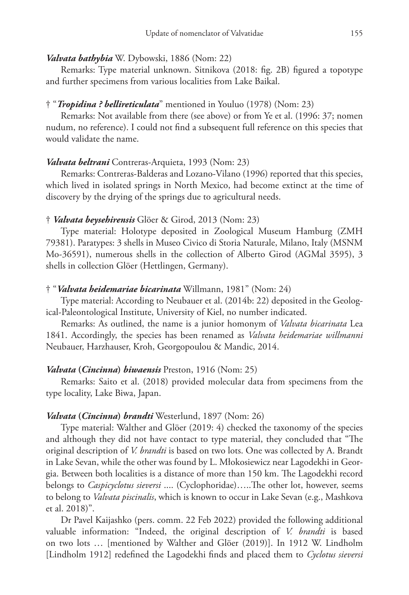#### *Valvata bathybia* W. Dybowski, 1886 (Nom: 22)

Remarks: Type material unknown. Sitnikova (2018: fig. 2B) figured a topotype and further specimens from various localities from Lake Baikal.

### † "*Tropidina ? bellireticulata*" mentioned in Youluo (1978) (Nom: 23)

Remarks: Not available from there (see above) or from Ye et al. (1996: 37; nomen nudum, no reference). I could not find a subsequent full reference on this species that would validate the name.

### *Valvata beltrani* Contreras-Arquieta, 1993 (Nom: 23)

Remarks: Contreras-Balderas and Lozano-Vilano (1996) reported that this species, which lived in isolated springs in North Mexico, had become extinct at the time of discovery by the drying of the springs due to agricultural needs.

### † *Valvata beysehirensis* Glöer & Girod, 2013 (Nom: 23)

Type material: Holotype deposited in Zoological Museum Hamburg (ZMH 79381). Paratypes: 3 shells in Museo Civico di Storia Naturale, Milano, Italy (MSNM Mo-36591), numerous shells in the collection of Alberto Girod (AGMal 3595), 3 shells in collection Glöer (Hettlingen, Germany).

### † "*Valvata heidemariae bicarinata* Willmann, 1981" (Nom: 24)

Type material: According to Neubauer et al. (2014b: 22) deposited in the Geological-Paleontological Institute, University of Kiel, no number indicated.

Remarks: As outlined, the name is a junior homonym of *Valvata bicarinata* Lea 1841. Accordingly, the species has been renamed as *Valvata heidemariae willmanni* Neubauer, Harzhauser, Kroh, Georgopoulou & Mandic, 2014.

#### *Valvata* **(***Cincinna***)** *biwaensis* Preston, 1916 (Nom: 25)

Remarks: Saito et al. (2018) provided molecular data from specimens from the type locality, Lake Biwa, Japan.

### *Valvata* **(***Cincinna***)** *brandti* Westerlund, 1897 (Nom: 26)

Type material: Walther and Glöer (2019: 4) checked the taxonomy of the species and although they did not have contact to type material, they concluded that "The original description of *V. brandti* is based on two lots. One was collected by A. Brandt in Lake Sevan, while the other was found by L. Młokosiewicz near Lagodekhi in Georgia. Between both localities is a distance of more than 150 km. The Lagodekhi record belongs to *Caspicyclotus sieversi* .... (Cyclophoridae)…..The other lot, however, seems to belong to *Valvata piscinalis*, which is known to occur in Lake Sevan (e.g., Mashkova et al. 2018)".

Dr Pavel Kaijashko (pers. comm. 22 Feb 2022) provided the following additional valuable information: "Indeed, the original description of *V. brandti* is based on two lots … [mentioned by Walther and Glöer (2019)]. In 1912 W. Lindholm [Lindholm 1912] redefined the Lagodekhi finds and placed them to *Cyclotus sieversi*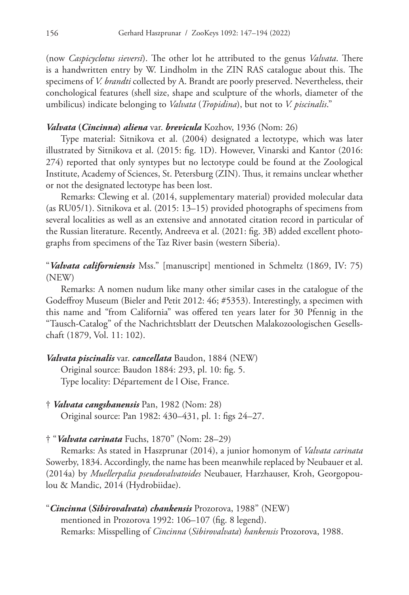(now *Caspicyclotus sieversi*). The other lot he attributed to the genus *Valvata*. There is a handwritten entry by W. Lindholm in the ZIN RAS catalogue about this. The specimens of *V. brandti* collected by A. Brandt are poorly preserved. Nevertheless, their conchological features (shell size, shape and sculpture of the whorls, diameter of the umbilicus) indicate belonging to *Valvata* (*Tropidina*), but not to *V. piscinalis*."

### *Valvata* **(***Cincinna***)** *aliena* var. *brevicula* Kozhov, 1936 (Nom: 26)

Type material: Sitnikova et al. (2004) designated a lectotype, which was later illustrated by Sitnikova et al. (2015: fig. 1D). However, Vinarski and Kantor (2016: 274) reported that only syntypes but no lectotype could be found at the Zoological Institute, Academy of Sciences, St. Petersburg (ZIN). Thus, it remains unclear whether or not the designated lectotype has been lost.

Remarks: Clewing et al. (2014, supplementary material) provided molecular data (as RU05/1). Sitnikova et al. (2015: 13–15) provided photographs of specimens from several localities as well as an extensive and annotated citation record in particular of the Russian literature. Recently, Andreeva et al. (2021: fig. 3B) added excellent photographs from specimens of the Taz River basin (western Siberia).

# "*Valvata californiensis* Mss." [manuscript] mentioned in Schmeltz (1869, IV: 75) (NEW)

Remarks: A nomen nudum like many other similar cases in the catalogue of the Godeffroy Museum (Bieler and Petit 2012: 46; #5353). Interestingly, a specimen with this name and "from California" was offered ten years later for 30 Pfennig in the "Tausch-Catalog" of the Nachrichtsblatt der Deutschen Malakozoologischen Gesellschaft (1879, Vol. 11: 102).

### *Valvata piscinalis* var. *cancellata* Baudon, 1884 (NEW)

Original source: Baudon 1884: 293, pl. 10: fig. 5. Type locality: Département de l Oise, France.

- † *Valvata cangshanensis* Pan, 1982 (Nom: 28) Original source: Pan 1982: 430–431, pl. 1: figs 24–27.
- † "*Valvata carinata* Fuchs, 1870" (Nom: 28–29)

Remarks: As stated in Haszprunar (2014), a junior homonym of *Valvata carinata* Sowerby, 1834. Accordingly, the name has been meanwhile replaced by Neubauer et al. (2014a) by *Muellerpalia pseudovalvatoides* Neubauer, Harzhauser, Kroh, Georgopoulou & Mandic, 2014 (Hydrobiidae).

"*Cincinna* **(***Sibirovalvata***)** *chankensis* Prozorova, 1988" (NEW) mentioned in Prozorova 1992: 106–107 (fig. 8 legend). Remarks: Misspelling of *Cincinna* (*Sibirovalvata*) *hankensis* Prozorova, 1988.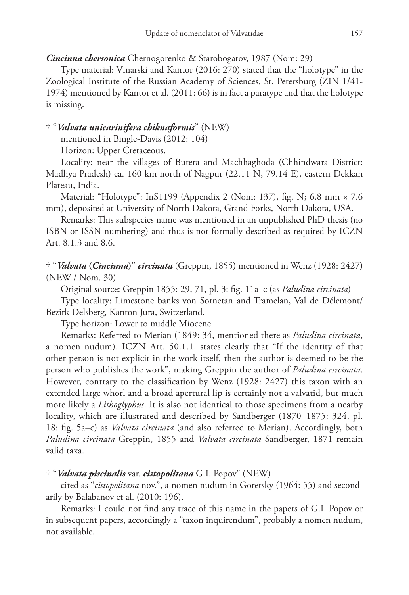### *Cincinna chersonica* Chernogorenko & Starobogatov, 1987 (Nom: 29)

Type material: Vinarski and Kantor (2016: 270) stated that the "holotype" in the Zoological Institute of the Russian Academy of Sciences, St. Petersburg (ZIN 1/41- 1974) mentioned by Kantor et al. (2011: 66) is in fact a paratype and that the holotype is missing.

### † "*Valvata unicarinifera chiknaformis*" (NEW)

mentioned in Bingle-Davis (2012: 104)

Horizon: Upper Cretaceous.

Locality: near the villages of Butera and Machhaghoda (Chhindwara District: Madhya Pradesh) ca. 160 km north of Nagpur (22.11 N, 79.14 E), eastern Dekkan Plateau, India.

Material: "Holotype": InS1199 (Appendix 2 (Nom: 137), fig. N; 6.8 mm × 7.6 mm), deposited at University of North Dakota, Grand Forks, North Dakota, USA.

Remarks: This subspecies name was mentioned in an unpublished PhD thesis (no ISBN or ISSN numbering) and thus is not formally described as required by ICZN Art. 8.1.3 and 8.6.

† "*Valvata* **(***Cincinna***)**" *circinata* (Greppin, 1855) mentioned in Wenz (1928: 2427) (NEW / Nom. 30)

Original source: Greppin 1855: 29, 71, pl. 3: fig. 11a–c (as *Paludina circinata*)

Type locality: Limestone banks von Sornetan and Tramelan, Val de Délemont/ Bezirk Delsberg, Kanton Jura, Switzerland.

Type horizon: Lower to middle Miocene.

Remarks: Referred to Merian (1849: 34, mentioned there as *Paludina circinata*, a nomen nudum). ICZN Art. 50.1.1. states clearly that "If the identity of that other person is not explicit in the work itself, then the author is deemed to be the person who publishes the work", making Greppin the author of *Paludina circinata*. However, contrary to the classification by Wenz (1928: 2427) this taxon with an extended large whorl and a broad apertural lip is certainly not a valvatid, but much more likely a *Lithoglyphus*. It is also not identical to those specimens from a nearby locality, which are illustrated and described by Sandberger (1870–1875: 324, pl. 18: fig. 5a–c) as *Valvata circinata* (and also referred to Merian). Accordingly, both *Paludina circinata* Greppin, 1855 and *Valvata circinata* Sandberger, 1871 remain valid taxa.

### † "*Valvata piscinalis* var. *cistopolitana* G.I. Popov" (NEW)

cited as "*cistopolitana* nov.", a nomen nudum in Goretsky (1964: 55) and secondarily by Balabanov et al. (2010: 196).

Remarks: I could not find any trace of this name in the papers of G.I. Popov or in subsequent papers, accordingly a "taxon inquirendum", probably a nomen nudum, not available.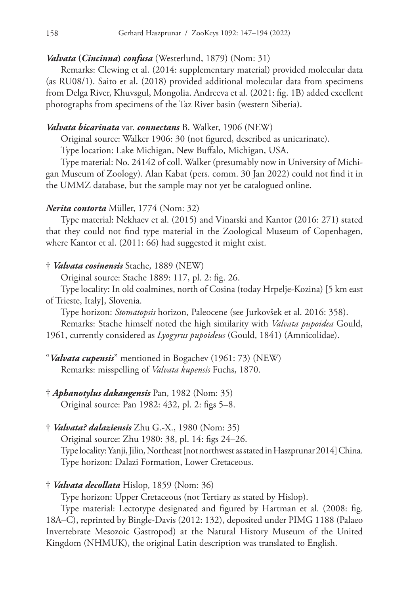### *Valvata* **(***Cincinna***)** *confusa* (Westerlund, 1879) (Nom: 31)

Remarks: Clewing et al. (2014: supplementary material) provided molecular data (as RU08/1). Saito et al. (2018) provided additional molecular data from specimens from Delga River, Khuvsgul, Mongolia. Andreeva et al. (2021: fig. 1B) added excellent photographs from specimens of the Taz River basin (western Siberia).

### *Valvata bicarinata* var. *connectans* B. Walker, 1906 (NEW)

Original source: Walker 1906: 30 (not figured, described as unicarinate).

Type location: Lake Michigan, New Buffalo, Michigan, USA.

Type material: No. 24142 of coll. Walker (presumably now in University of Michigan Museum of Zoology). Alan Kabat (pers. comm. 30 Jan 2022) could not find it in the UMMZ database, but the sample may not yet be catalogued online.

### *Nerita contorta* Müller, 1774 (Nom: 32)

Type material: Nekhaev et al. (2015) and Vinarski and Kantor (2016: 271) stated that they could not find type material in the Zoological Museum of Copenhagen, where Kantor et al. (2011: 66) had suggested it might exist.

#### † *Valvata cosinensis* Stache, 1889 (NEW)

Original source: Stache 1889: 117, pl. 2: fig. 26.

Type locality: In old coalmines, north of Cosina (today Hrpelje-Kozina) [5 km east of Trieste, Italy], Slovenia.

Type horizon: *Stomatopsis* horizon, Paleocene (see Jurkovšek et al. 2016: 358).

Remarks: Stache himself noted the high similarity with *Valvata pupoidea* Gould, 1961, currently considered as *Lyogyrus pupoideus* (Gould, 1841) (Amnicolidae).

- "*Valvata cupensis*" mentioned in Bogachev (1961: 73) (NEW) Remarks: misspelling of *Valvata kupensis* Fuchs, 1870.
- † *Aphanotylus dakangensis* Pan, 1982 (Nom: 35) Original source: Pan 1982: 432, pl. 2: figs 5–8.
- † *Valvata? dalaziensis* Zhu G.-X., 1980 (Nom: 35)

Original source: Zhu 1980: 38, pl. 14: figs 24–26. Type locality: Yanji, Jilin, Northeast [not northwest as stated in Haszprunar 2014] China. Type horizon: Dalazi Formation, Lower Cretaceous.

† *Valvata decollata* Hislop, 1859 (Nom: 36)

Type horizon: Upper Cretaceous (not Tertiary as stated by Hislop).

Type material: Lectotype designated and figured by Hartman et al. (2008: fig. 18A–C), reprinted by Bingle-Davis (2012: 132), deposited under PIMG 1188 (Palaeo Invertebrate Mesozoic Gastropod) at the Natural History Museum of the United Kingdom (NHMUK), the original Latin description was translated to English.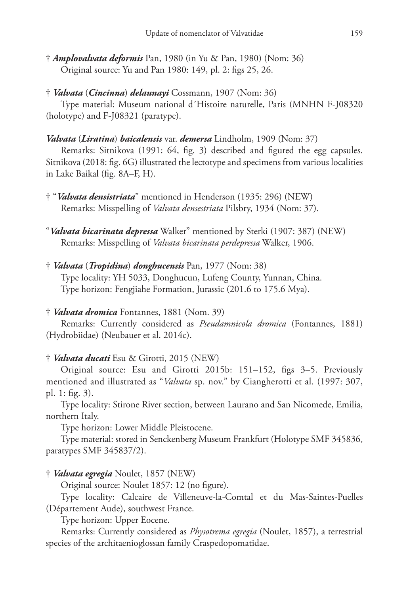- † *Amplovalvata deformis* Pan, 1980 (in Yu & Pan, 1980) (Nom: 36) Original source: Yu and Pan 1980: 149, pl. 2: figs 25, 26.
- † *Valvata* (*Cincinna*) *delaunayi* Cossmann, 1907 (Nom: 36)

Type material: Museum national d´Histoire naturelle, Paris (MNHN F-J08320 (holotype) and F-J08321 (paratype).

# *Valvata* (*Liratina*) *baicalensis* var. *demersa* Lindholm, 1909 (Nom: 37)

Remarks: Sitnikova (1991: 64, fig. 3) described and figured the egg capsules. Sitnikova (2018: fig. 6G) illustrated the lectotype and specimens from various localities in Lake Baikal (fig. 8A–F, H).

- † "*Valvata densistriata*" mentioned in Henderson (1935: 296) (NEW) Remarks: Misspelling of *Valvata densestriata* Pilsbry, 1934 (Nom: 37).
- "*Valvata bicarinata depressa* Walker" mentioned by Sterki (1907: 387) (NEW) Remarks: Misspelling of *Valvata bicarinata perdepressa* Walker, 1906.
- † *Valvata* (*Tropidina*) *donghucensis* Pan, 1977 (Nom: 38) Type locality: YH 5033, Donghucun, Lufeng County, Yunnan, China. Type horizon: Fengjiahe Formation, Jurassic (201.6 to 175.6 Mya).

### † *Valvata dromica* Fontannes, 1881 (Nom. 39)

Remarks: Currently considered as *Pseudamnicola dromica* (Fontannes, 1881) (Hydrobiidae) (Neubauer et al. 2014c).

### † *Valvata ducati* Esu & Girotti, 2015 (NEW)

Original source: Esu and Girotti 2015b: 151–152, figs 3–5. Previously mentioned and illustrated as "*Valvata* sp. nov." by Ciangherotti et al. (1997: 307, pl. 1: fig. 3).

Type locality: Stirone River section, between Laurano and San Nicomede, Emilia, northern Italy.

Type horizon: Lower Middle Pleistocene.

Type material: stored in Senckenberg Museum Frankfurt (Holotype SMF 345836, paratypes SMF 345837/2).

### † *Valvata egregia* Noulet, 1857 (NEW)

Original source: Noulet 1857: 12 (no figure).

Type locality: Calcaire de Villeneuve-la-Comtal et du Mas-Saintes-Puelles (Département Aude), southwest France.

Type horizon: Upper Eocene.

Remarks: Currently considered as *Physotrema egregia* (Noulet, 1857), a terrestrial species of the architaenioglossan family Craspedopomatidae.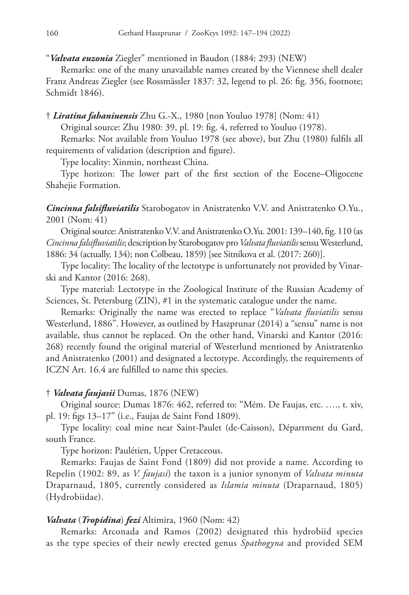"*Valvata euzonia* Ziegler" mentioned in Baudon (1884: 293) (NEW)

Remarks: one of the many unavailable names created by the Viennese shell dealer Franz Andreas Ziegler (see Rossmässler 1837: 32, legend to pl. 26: fig. 356, footnote; Schmidt 1846).

### † *Liratina fahaniuensis* Zhu G.-X., 1980 [non Youluo 1978] (Nom: 41)

Original source: Zhu 1980: 39, pl. 19: fig. 4, referred to Youluo (1978).

Remarks: Not available from Youluo 1978 (see above), but Zhu (1980) fulfils all requirements of validation (description and figure).

Type locality: Xinmin, northeast China.

Type horizon: The lower part of the first section of the Eocene–Oligocene Shahejie Formation.

*Cincinna falsifluviatilis* Starobogatov in Anistratenko V.V. and Anistratenko O.Yu., 2001 (Nom: 41)

Original source: Anistratenko V.V. and Anistratenko O.Yu. 2001: 139–140, fig. 110 (as *Cincinna falsifluviatilis*; description by Starobogatov pro *Valvata fluviatilis* sensu Westerlund, 1886: 34 (actually, 134); non Colbeau, 1859) [see Sitnikova et al. (2017: 260)].

Type locality: The locality of the lectotype is unfortunately not provided by Vinarski and Kantor (2016: 268).

Type material: Lectotype in the Zoological Institute of the Russian Academy of Sciences, St. Petersburg (ZIN), #1 in the systematic catalogue under the name.

Remarks: Originally the name was erected to replace "*Valvata fluviatilis* sensu Westerlund, 1886". However, as outlined by Haszprunar (2014) a "sensu" name is not available, thus cannot be replaced. On the other hand, Vinarski and Kantor (2016: 268) recently found the original material of Westerlund mentioned by Anistratenko and Anistratenko (2001) and designated a lectotype. Accordingly, the requirements of ICZN Art. 16.4 are fulfilled to name this species.

### † *Valvata faujasii* Dumas, 1876 (NEW)

Original source: Dumas 1876: 462, referred to: "Mém. De Faujas, etc. …., t. xiv, pl. 19: figs 13–17" (i.e., Faujas de Saint Fond 1809).

Type locality: coal mine near Saint-Paulet (de-Caisson), Départment du Gard, south France.

Type horizon: Paulétien, Upper Cretaceous.

Remarks: Faujas de Saint Fond (1809) did not provide a name. According to Repelin (1902: 89, as *V. faujasi*) the taxon is a junior synonym of *Valvata minuta* Draparnaud, 1805, currently considered as *Islamia minuta* (Draparnaud, 1805) (Hydrobiidae).

### *Valvata* (*Tropidina*) *fezi* Altimira, 1960 (Nom: 42)

Remarks: Arconada and Ramos (2002) designated this hydrobiid species as the type species of their newly erected genus *Spathogyna* and provided SEM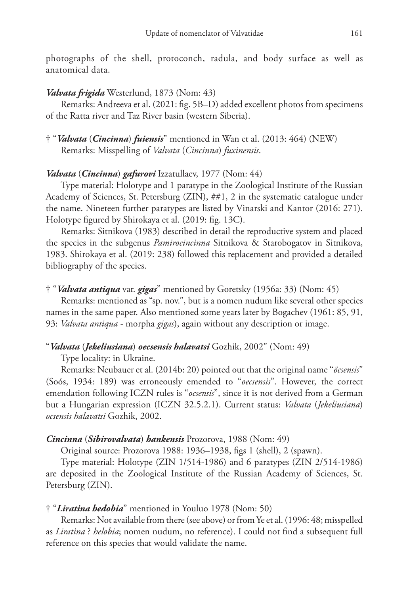photographs of the shell, protoconch, radula, and body surface as well as anatomical data.

### *Valvata frigida* Westerlund, 1873 (Nom: 43)

Remarks: Andreeva et al. (2021: fig. 5B–D) added excellent photos from specimens of the Ratta river and Taz River basin (western Siberia).

† "*Valvata* (*Cincinna*) *fuiensis*" mentioned in Wan et al. (2013: 464) (NEW) Remarks: Misspelling of *Valvata* (*Cincinna*) *fuxinensis*.

### *Valvata* (*Cincinna*) *gafurovi* Izzatullaev, 1977 (Nom: 44)

Type material: Holotype and 1 paratype in the Zoological Institute of the Russian Academy of Sciences, St. Petersburg (ZIN), ##1, 2 in the systematic catalogue under the name. Nineteen further paratypes are listed by Vinarski and Kantor (2016: 271). Holotype figured by Shirokaya et al. (2019: fig. 13C).

Remarks: Sitnikova (1983) described in detail the reproductive system and placed the species in the subgenus *Pamirocincinna* Sitnikova & Starobogatov in Sitnikova, 1983. Shirokaya et al. (2019: 238) followed this replacement and provided a detailed bibliography of the species.

### † "*Valvata antiqua* var. *gigas*" mentioned by Goretsky (1956a: 33) (Nom: 45)

Remarks: mentioned as "sp. nov.", but is a nomen nudum like several other species names in the same paper. Also mentioned some years later by Bogachev (1961: 85, 91, 93: *Valvata antiqua -* morpha *gigas*), again without any description or image.

### "*Valvata* (*Jekeliusiana*) *oecsensis halavatsi* Gozhik, 2002" (Nom: 49)

Type locality: in Ukraine.

Remarks: Neubauer et al. (2014b: 20) pointed out that the original name "*öcsensis*" (Soós, 1934: 189) was erroneously emended to "*oecsensis*". However, the correct emendation following ICZN rules is "*ocsensis*", since it is not derived from a German but a Hungarian expression (ICZN 32.5.2.1). Current status: *Valvata* (*Jekeliusiana*) *ocsensis halavatsi* Gozhik, 2002.

### *Cincinna* (*Sibirovalvata*) *hankensis* Prozorova, 1988 (Nom: 49)

Original source: Prozorova 1988: 1936–1938, figs 1 (shell), 2 (spawn).

Type material: Holotype (ZIN 1/514-1986) and 6 paratypes (ZIN 2/514-1986) are deposited in the Zoological Institute of the Russian Academy of Sciences, St. Petersburg (ZIN).

### † "*Liratina hedobia*" mentioned in Youluo 1978 (Nom: 50)

Remarks: Not available from there (see above) or from Ye et al. (1996: 48; misspelled as *Liratina* ? *helobia*; nomen nudum, no reference). I could not find a subsequent full reference on this species that would validate the name.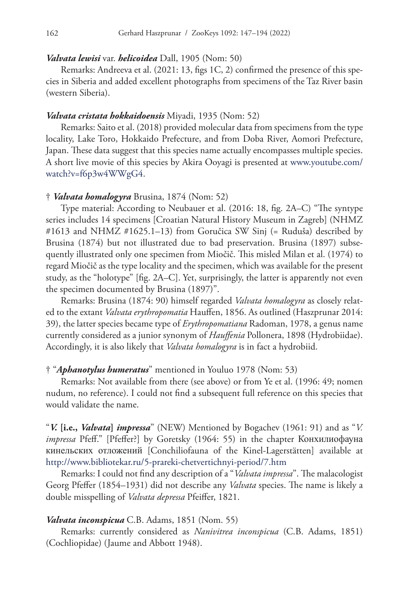#### *Valvata lewisi* var. *helicoidea* Dall, 1905 (Nom: 50)

Remarks: Andreeva et al. (2021: 13, figs 1C, 2) confirmed the presence of this species in Siberia and added excellent photographs from specimens of the Taz River basin (western Siberia).

### *Valvata cristata hokkaidoensis* Miyadi, 1935 (Nom: 52)

Remarks: Saito et al. (2018) provided molecular data from specimens from the type locality, Lake Toro, Hokkaido Prefecture, and from Doba River, Aomori Prefecture, Japan. These data suggest that this species name actually encompasses multiple species. A short live movie of this species by Akira Ooyagi is presented at www.youtube.com/ watch?v=f6p3w4WWgG4.

#### † *Valvata homalogyra* Brusina, 1874 (Nom: 52)

Type material: According to Neubauer et al. (2016: 18, fig. 2A–C) "The syntype series includes 14 specimens [Croatian Natural History Museum in Zagreb] (NHMZ #1613 and NHMZ #1625.1–13) from Goručica SW Sinj (= Ruduša) described by Brusina (1874) but not illustrated due to bad preservation. Brusina (1897) subsequently illustrated only one specimen from Miočič. This misled Milan et al. (1974) to regard Miočič as the type locality and the specimen, which was available for the present study, as the "holotype" [fig. 2A–C]. Yet, surprisingly, the latter is apparently not even the specimen documented by Brusina (1897)".

Remarks: Brusina (1874: 90) himself regarded *Valvata homalogyra* as closely related to the extant *Valvata erythropomatia* Hauffen, 1856. As outlined (Haszprunar 2014: 39), the latter species became type of *Erythropomatiana* Radoman, 1978, a genus name currently considered as a junior synonym of *Hauffenia* Pollonera, 1898 (Hydrobiidae). Accordingly, it is also likely that *Valvata homalogyra* is in fact a hydrobiid.

#### † "*Aphanotylus humeratus*" mentioned in Youluo 1978 (Nom: 53)

Remarks: Not available from there (see above) or from Ye et al. (1996: 49; nomen nudum, no reference). I could not find a subsequent full reference on this species that would validate the name.

"*V.* **[i.e.,** *Valvata***]** *impressa*" (NEW) Mentioned by Bogachev (1961: 91) and as "*V. impressa* Pfeff." [Pfeffer?] by Goretsky (1964: 55) in the chapter Конхилиофауна кинельских отложений [Conchiliofauna of the Kinel-Lagerstätten] available at <http://www.bibliotekar.ru/5-prareki-chetvertichnyi-period/7.htm>

Remarks: I could not find any description of a "*Valvata impressa*". The malacologist Georg Pfeffer (1854–1931) did not describe any *Valvata* species. The name is likely a double misspelling of *Valvata depressa* Pfeiffer, 1821.

### *Valvata inconspicua* C.B. Adams, 1851 (Nom. 55)

Remarks: currently considered as *Nanivitrea inconspicua* (C.B. Adams, 1851) (Cochliopidae) (Jaume and Abbott 1948).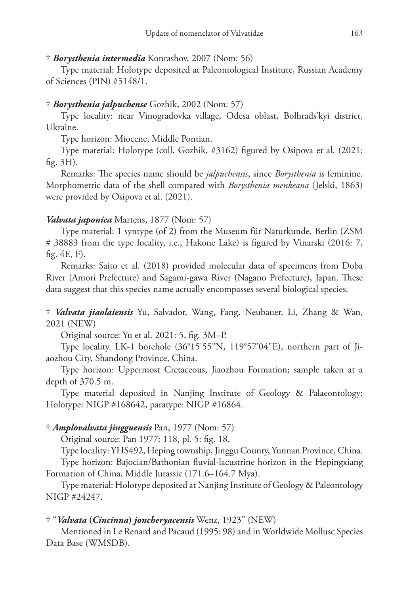### † *Borysthenia intermedia* Konrashov, 2007 (Nom: 56)

Type material: Holotype deposited at Paleontological Institute, Russian Academy of Sciences (PIN) #5148/1.

# † *Borysthenia jalpuchense* Gozhik, 2002 (Nom: 57)

Type locality: near Vinogradovka village, Odesa oblast, Bolhrads'kyi district, Ukraine.

Type horizon: Miocene, Middle Pontian.

Type material: Holotype (coll. Gozhik, #3162) figured by Osipova et al. (2021: fig. 3H).

Remarks: The species name should be *jalpuchensis*, since *Borysthenia* is feminine. Morphometric data of the shell compared with *Borysthenia menkeana* (Jelski, 1863) were provided by Osipova et al. (2021).

# *Valvata japonica* Martens, 1877 (Nom: 57)

Type material: 1 syntype (of 2) from the Museum für Naturkunde, Berlin (ZSM # 38883 from the type locality, i.e., Hakone Lake) is figured by Vinarski (2016: 7, fig. 4E, F).

Remarks: Saito et al. (2018) provided molecular data of specimens from Doba River (Amori Prefecture) and Sagami-gawa River (Nagano Prefecture), Japan. These data suggest that this species name actually encompasses several biological species.

† *Valvata jiaolaiensis* Yu, Salvador, Wang, Fang, Neubauer, Li, Zhang & Wan, 2021 (NEW)

Original source: Yu et al. 2021: 5, fig. 3M–P.

Type locality. LK-1 borehole (36°15'55"N, 119°57'04"E), northern part of Jiaozhou City, Shandong Province, China.

Type horizon: Uppermost Cretaceous, Jiaozhou Formation; sample taken at a depth of 370.5 m.

Type material deposited in Nanjing Institute of Geology & Palaeontology: Holotype: NIGP #168642, paratype: NIGP #16864.

# † *Amplovalvata jingguensis* Pan, 1977 (Nom: 57)

Original source: Pan 1977: 118, pl. 5: fig. 18.

Type locality: YHS492, Heping township, Jinggu County, Yunnan Province, China.

Type horizon: Bajocian/Bathonian fluvial-lacustrine horizon in the Hepingxiang Formation of China, Middle Jurassic (171.6–164.7 Mya).

Type material: Holotype deposited at Nanjing Institute of Geology & Paleontology NIGP #24247.

### † "*Valvata* **(***Cincinna***)** *joncheryacensis* Wenz, 1923" (NEW)

Mentioned in Le Renard and Pacaud (1995: 98) and in Worldwide Mollusc Species Data Base (WMSDB).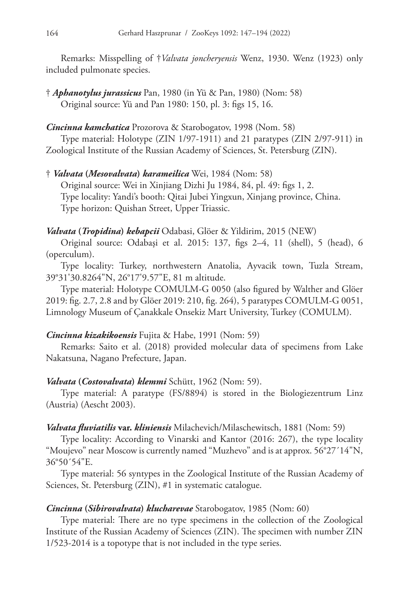Remarks: Misspelling of †*Valvata joncheryensis* Wenz, 1930. Wenz (1923) only included pulmonate species.

† *Aphanotylus jurassicus* Pan, 1980 (in Yü & Pan, 1980) (Nom: 58) Original source: Yü and Pan 1980: 150, pl. 3: figs 15, 16.

# *Cincinna kamchatica* Prozorova & Starobogatov, 1998 (Nom. 58)

Type material: Holotype (ZIN 1/97-1911) and 21 paratypes (ZIN 2/97-911) in Zoological Institute of the Russian Academy of Sciences, St. Petersburg (ZIN).

† *Valvata* **(***Mesovalvata***)** *karameilica* Wei, 1984 (Nom: 58) Original source: Wei in Xinjiang Dizhi Ju 1984, 84, pl. 49: figs 1, 2. Type locality: Yandi's booth: Qitai Jubei Yingxun, Xinjang province, China. Type horizon: Quishan Street, Upper Triassic.

# *Valvata* **(***Tropidina***)** *kebapcii* Odabasi, Glöer & Yildirim, 2015 (NEW)

Original source: Odabaşi et al. 2015: 137, figs 2–4, 11 (shell), 5 (head), 6 (operculum).

Type locality: Turkey, northwestern Anatolia, Ayvacik town, Tuzla Stream, 39°31'30.8264"N, 26°17'9.57"E, 81 m altitude.

Type material: Holotype COMULM-G 0050 (also figured by Walther and Glöer 2019: fig. 2.7, 2.8 and by Glöer 2019: 210, fig. 264), 5 paratypes COMULM-G 0051, Limnology Museum of Çanakkale Onsekiz Mart University, Turkey (COMULM).

# *Cincinna kizakikoensis* Fujita & Habe, 1991 (Nom: 59)

Remarks: Saito et al. (2018) provided molecular data of specimens from Lake Nakatsuna, Nagano Prefecture, Japan.

# *Valvata* **(***Costovalvata***)** *klemmi* Schütt, 1962 (Nom: 59).

Type material: A paratype (FS/8894) is stored in the Biologiezentrum Linz (Austria) (Aescht 2003).

# *Valvata fluviatilis* **var.** *kliniensis* Milachevich/Milaschewitsch, 1881 (Nom: 59)

Type locality: According to Vinarski and Kantor (2016: 267), the type locality "Moujevo" near Moscow is currently named "Muzhevo" and is at approx. 56°27´14"N, 36°50´54"E.

Type material: 56 syntypes in the Zoological Institute of the Russian Academy of Sciences, St. Petersburg (ZIN), #1 in systematic catalogue.

# *Cincinna* **(***Sibirovalvata***)** *klucharevae* Starobogatov, 1985 (Nom: 60)

Type material: There are no type specimens in the collection of the Zoological Institute of the Russian Academy of Sciences (ZIN). The specimen with number ZIN 1/523-2014 is a topotype that is not included in the type series.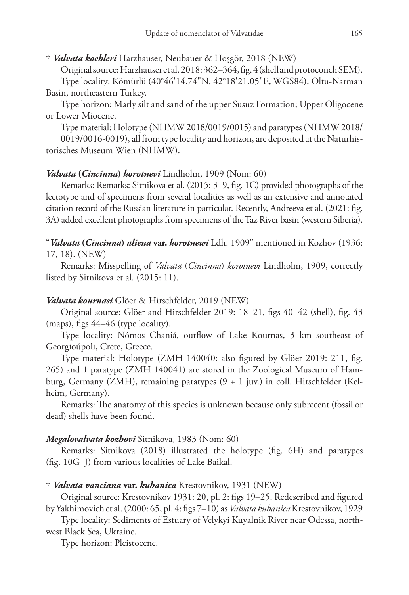# † *Valvata koehleri* Harzhauser, Neubauer & Hoşgör, 2018 (NEW)

Original source: Harzhauser et al. 2018: 362–364, fig. 4 (shell and protoconch SEM).

Type locality: Kömürlü (40°46'14.74"N, 42°18'21.05"E, WGS84), Oltu-Narman Basin, northeastern Turkey.

Type horizon: Marly silt and sand of the upper Susuz Formation; Upper Oligocene or Lower Miocene.

Type material: Holotype (NHMW 2018/0019/0015) and paratypes (NHMW 2018/ 0019/0016-0019), all from type locality and horizon, are deposited at the Naturhistorisches Museum Wien (NHMW).

# *Valvata* **(***Cincinna***)** *korotnevi* Lindholm, 1909 (Nom: 60)

Remarks: Remarks: Sitnikova et al. (2015: 3–9, fig. 1C) provided photographs of the lectotype and of specimens from several localities as well as an extensive and annotated citation record of the Russian literature in particular. Recently, Andreeva et al. (2021: fig. 3A) added excellent photographs from specimens of the Taz River basin (western Siberia).

"*Valvata* **(***Cincinna***)** *aliena* **var.** *korotnewi* Ldh. 1909" mentioned in Kozhov (1936: 17, 18). (NEW)

Remarks: Misspelling of *Valvata* (*Cincinna*) *korotnevi* Lindholm, 1909, correctly listed by Sitnikova et al. (2015: 11).

# *Valvata kournasi* Glöer & Hirschfelder, 2019 (NEW)

Original source: Glöer and Hirschfelder 2019: 18–21, figs 40–42 (shell), fig. 43 (maps), figs 44–46 (type locality).

Type locality: Nómos Chaniá, outflow of Lake Kournas, 3 km southeast of Georgioúpoli, Crete, Greece.

Type material: Holotype (ZMH 140040: also figured by Glöer 2019: 211, fig. 265) and 1 paratype (ZMH 140041) are stored in the Zoological Museum of Hamburg, Germany (ZMH), remaining paratypes (9 + 1 juv.) in coll. Hirschfelder (Kelheim, Germany).

Remarks: The anatomy of this species is unknown because only subrecent (fossil or dead) shells have been found.

# *Megalovalvata kozhovi* Sitnikova, 1983 (Nom: 60)

Remarks: Sitnikova (2018) illustrated the holotype (fig. 6H) and paratypes (fig. 10G–J) from various localities of Lake Baikal.

# † *Valvata vanciana* **var.** *kubanica* Krestovnikov, 1931 (NEW)

Original source: Krestovnikov 1931: 20, pl. 2: figs 19–25. Redescribed and figured by Yakhimovich et al. (2000: 65, pl. 4: figs 7–10) as *Valvata kubanica* Krestovnikov, 1929

Type locality: Sediments of Estuary of Velykyi Kuyalnik River near Odessa, northwest Black Sea, Ukraine.

Type horizon: Pleistocene.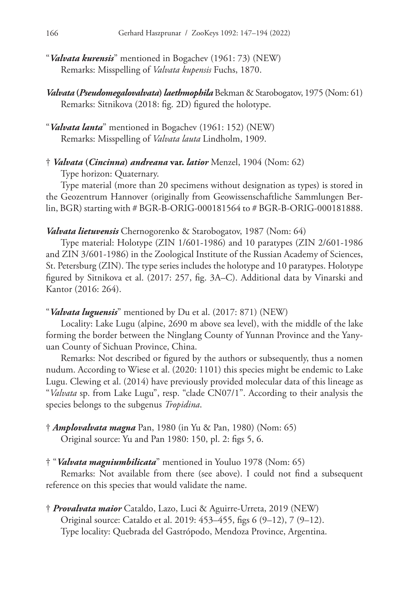- "*Valvata kurensis*" mentioned in Bogachev (1961: 73) (NEW) Remarks: Misspelling of *Valvata kupensis* Fuchs, 1870.
- *Valvata* **(***Pseudomegalovalvata***)** *laethmophila* Bekman & Starobogatov, 1975 (Nom: 61) Remarks: Sitnikova (2018: fig. 2D) figured the holotype.
- "*Valvata lanta*" mentioned in Bogachev (1961: 152) (NEW) Remarks: Misspelling of *Valvata lauta* Lindholm, 1909.
- † *Valvata* **(***Cincinna***)** *andreana* **var.** *latior* Menzel, 1904 (Nom: 62)

Type horizon: Quaternary.

Type material (more than 20 specimens without designation as types) is stored in the Geozentrum Hannover (originally from Geowissenschaftliche Sammlungen Berlin, BGR) starting with # BGR-B-ORIG-000181564 to # BGR-B-ORIG-000181888.

### *Valvata lietuvensis* Chernogorenko & Starobogatov, 1987 (Nom: 64)

Type material: Holotype (ZIN 1/601-1986) and 10 paratypes (ZIN 2/601-1986 and ZIN 3/601-1986) in the Zoological Institute of the Russian Academy of Sciences, St. Petersburg (ZIN). The type series includes the holotype and 10 paratypes. Holotype figured by Sitnikova et al. (2017: 257, fig. 3A–C). Additional data by Vinarski and Kantor (2016: 264).

### "*Valvata luguensis*" mentioned by Du et al. (2017: 871) (NEW)

Locality: Lake Lugu (alpine, 2690 m above sea level), with the middle of the lake forming the border between the Ninglang County of Yunnan Province and the Yanyuan County of Sichuan Province, China.

Remarks: Not described or figured by the authors or subsequently, thus a nomen nudum. According to Wiese et al. (2020: 1101) this species might be endemic to Lake Lugu. Clewing et al. (2014) have previously provided molecular data of this lineage as "*Valvata* sp. from Lake Lugu", resp. "clade CN07/1". According to their analysis the species belongs to the subgenus *Tropidina*.

† *Amplovalvata magna* Pan, 1980 (in Yu & Pan, 1980) (Nom: 65) Original source: Yu and Pan 1980: 150, pl. 2: figs 5, 6.

### † "*Valvata magniumbilicata*" mentioned in Youluo 1978 (Nom: 65)

Remarks: Not available from there (see above). I could not find a subsequent reference on this species that would validate the name.

† *Provalvata maior* Cataldo, Lazo, Luci & Aguirre-Urreta, 2019 (NEW) Original source: Cataldo et al. 2019: 453–455, figs 6 (9–12), 7 (9–12). Type locality: Quebrada del Gastrópodo, Mendoza Province, Argentina.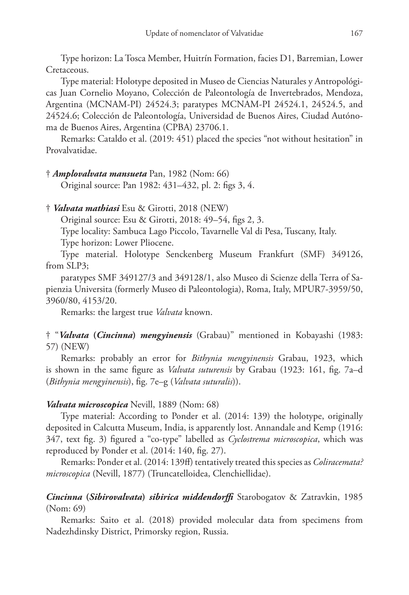Type horizon: La Tosca Member, Huitrín Formation, facies D1, Barremian, Lower Cretaceous.

Type material: Holotype deposited in Museo de Ciencias Naturales y Antropológicas Juan Cornelio Moyano, Colección de Paleontología de Invertebrados, Mendoza, Argentina (MCNAM-PI) 24524.3; paratypes MCNAM-PI 24524.1, 24524.5, and 24524.6; Colección de Paleontología, Universidad de Buenos Aires, Ciudad Autónoma de Buenos Aires, Argentina (CPBA) 23706.1.

Remarks: Cataldo et al. (2019: 451) placed the species "not without hesitation" in Provalvatidae.

† *Amplovalvata mansueta* Pan, 1982 (Nom: 66)

Original source: Pan 1982: 431–432, pl. 2: figs 3, 4.

† *Valvata mathiasi* Esu & Girotti, 2018 (NEW)

Original source: Esu & Girotti, 2018: 49–54, figs 2, 3.

Type locality: Sambuca Lago Piccolo, Tavarnelle Val di Pesa, Tuscany, Italy.

Type horizon: Lower Pliocene.

Type material. Holotype Senckenberg Museum Frankfurt (SMF) 349126, from SLP3;

paratypes SMF 349127/3 and 349128/1, also Museo di Scienze della Terra of Sapienzia Universita (formerly Museo di Paleontologia), Roma, Italy, MPUR7-3959/50, 3960/80, 4153/20.

Remarks: the largest true *Valvata* known.

† "*Valvata* **(***Cincinna***)** *mengyinensis* (Grabau)" mentioned in Kobayashi (1983: 57) (NEW)

Remarks: probably an error for *Bithynia mengyinensis* Grabau, 1923, which is shown in the same figure as *Valvata suturensis* by Grabau (1923: 161, fig. 7a–d (*Bithynia mengyinensis*), fig. 7e–g (*Valvata suturalis*)).

# *Valvata microscopica* Nevill, 1889 (Nom: 68)

Type material: According to Ponder et al. (2014: 139) the holotype, originally deposited in Calcutta Museum, India, is apparently lost. Annandale and Kemp (1916: 347, text fig. 3) figured a "co-type" labelled as *Cyclostrema microscopica*, which was reproduced by Ponder et al. (2014: 140, fig. 27).

Remarks: Ponder et al. (2014: 139ff) tentatively treated this species as *Coliracemata? microscopica* (Nevill, 1877) (Truncatelloidea, Clenchiellidae).

# *Cincinna* **(***Sibirovalvata***)** *sibirica middendorffi* Starobogatov & Zatravkin, 1985 (Nom: 69)

Remarks: Saito et al. (2018) provided molecular data from specimens from Nadezhdinsky District, Primorsky region, Russia.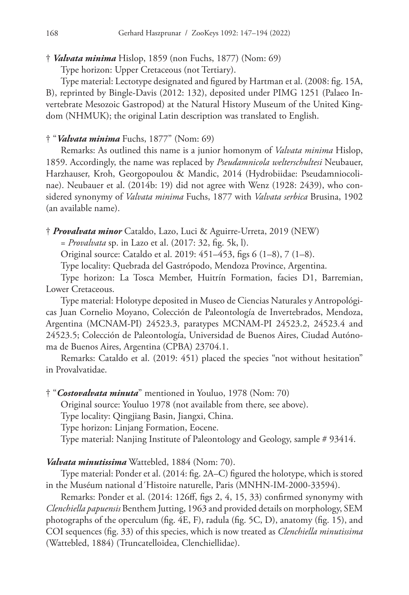### † *Valvata minima* Hislop, 1859 (non Fuchs, 1877) (Nom: 69)

Type horizon: Upper Cretaceous (not Tertiary).

Type material: Lectotype designated and figured by Hartman et al. (2008: fig. 15A, B), reprinted by Bingle-Davis (2012: 132), deposited under PIMG 1251 (Palaeo Invertebrate Mesozoic Gastropod) at the Natural History Museum of the United Kingdom (NHMUK); the original Latin description was translated to English.

### † "*Valvata minima* Fuchs, 1877" (Nom: 69)

Remarks: As outlined this name is a junior homonym of *Valvata minima* Hislop, 1859. Accordingly, the name was replaced by *Pseudamnicola welterschultesi* Neubauer, Harzhauser, Kroh, Georgopoulou & Mandic, 2014 (Hydrobiidae: Pseudamniocolinae). Neubauer et al. (2014b: 19) did not agree with Wenz (1928: 2439), who considered synonymy of *Valvata minima* Fuchs, 1877 with *Valvata serbica* Brusina, 1902 (an available name).

† *Provalvata minor* Cataldo, Lazo, Luci & Aguirre-Urreta, 2019 (NEW)

= *Provalvata* sp. in Lazo et al. (2017: 32, fig. 5k, l).

Original source: Cataldo et al. 2019: 451–453, figs 6 (1–8), 7 (1–8).

Type locality: Quebrada del Gastrópodo, Mendoza Province, Argentina.

Type horizon: La Tosca Member, Huitrín Formation, facies D1, Barremian, Lower Cretaceous.

Type material: Holotype deposited in Museo de Ciencias Naturales y Antropológicas Juan Cornelio Moyano, Colección de Paleontología de Invertebrados, Mendoza, Argentina (MCNAM-PI) 24523.3, paratypes MCNAM-PI 24523.2, 24523.4 and 24523.5; Colección de Paleontología, Universidad de Buenos Aires, Ciudad Autónoma de Buenos Aires, Argentina (CPBA) 23704.1.

Remarks: Cataldo et al. (2019: 451) placed the species "not without hesitation" in Provalvatidae.

† "*Costovalvata minuta*" mentioned in Youluo, 1978 (Nom: 70)

Original source: Youluo 1978 (not available from there, see above).

Type locality: Qingjiang Basin, Jiangxi, China.

Type horizon: Linjang Formation, Eocene.

Type material: Nanjing Institute of Paleontology and Geology, sample # 93414.

### *Valvata minutissima* Wattebled, 1884 (Nom: 70).

Type material: Ponder et al. (2014: fig. 2A–C) figured the holotype, which is stored in the Muséum national d´Histoire naturelle, Paris (MNHN-IM-2000-33594).

Remarks: Ponder et al. (2014: 126ff, figs 2, 4, 15, 33) confirmed synonymy with *Clenchiella papuensis* Benthem Jutting, 1963 and provided details on morphology, SEM photographs of the operculum (fig. 4E, F), radula (fig. 5C, D), anatomy (fig. 15), and COI sequences (fig. 33) of this species, which is now treated as *Clenchiella minutissima* (Wattebled, 1884) (Truncatelloidea, Clenchiellidae).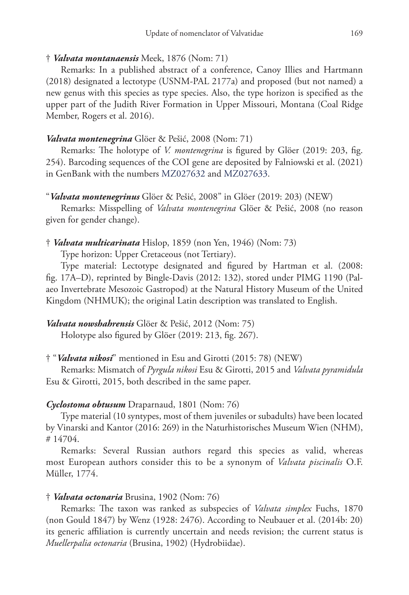### † *Valvata montanaensis* Meek, 1876 (Nom: 71)

Remarks: In a published abstract of a conference, Canoy Illies and Hartmann (2018) designated a lectotype (USNM-PAL 2177a) and proposed (but not named) a new genus with this species as type species. Also, the type horizon is specified as the upper part of the Judith River Formation in Upper Missouri, Montana (Coal Ridge Member, Rogers et al. 2016).

### *Valvata montenegrina* Glöer & Pešić, 2008 (Nom: 71)

Remarks: The holotype of *V. montenegrina* is figured by Glöer (2019: 203, fig. 254). Barcoding sequences of the COI gene are deposited by Falniowski et al. (2021) in GenBank with the numbers [MZ027632](http://www.ncbi.nlm.nih.gov/nuccore/MZ027632) and [MZ027633](http://www.ncbi.nlm.nih.gov/nuccore/MZ027633).

### "*Valvata montenegrinus* Glöer & Pešić, 2008" in Glöer (2019: 203) (NEW)

Remarks: Misspelling of *Valvata montenegrina* Glöer & Pešić, 2008 (no reason given for gender change).

### † *Valvata multicarinata* Hislop, 1859 (non Yen, 1946) (Nom: 73)

Type horizon: Upper Cretaceous (not Tertiary).

Type material: Lectotype designated and figured by Hartman et al. (2008: fig. 17A–D), reprinted by Bingle-Davis (2012: 132), stored under PIMG 1190 (Palaeo Invertebrate Mesozoic Gastropod) at the Natural History Museum of the United Kingdom (NHMUK); the original Latin description was translated to English.

# *Valvata nowshahrensis* Glöer & Pešić, 2012 (Nom: 75)

Holotype also figured by Glöer (2019: 213, fig. 267).

# † "*Valvata nikosi*" mentioned in Esu and Girotti (2015: 78) (NEW)

Remarks: Mismatch of *Pyrgula nikosi* Esu & Girotti, 2015 and *Valvata pyramidula* Esu & Girotti, 2015, both described in the same paper.

### *Cyclostoma obtusum* Draparnaud, 1801 (Nom: 76)

Type material (10 syntypes, most of them juveniles or subadults) have been located by Vinarski and Kantor (2016: 269) in the Naturhistorisches Museum Wien (NHM), # 14704.

Remarks: Several Russian authors regard this species as valid, whereas most European authors consider this to be a synonym of *Valvata piscinalis* O.F. Müller, 1774.

### † *Valvata octonaria* Brusina, 1902 (Nom: 76)

Remarks: The taxon was ranked as subspecies of *Valvata simplex* Fuchs, 1870 (non Gould 1847) by Wenz (1928: 2476). According to Neubauer et al. (2014b: 20) its generic affiliation is currently uncertain and needs revision; the current status is *Muellerpalia octonaria* (Brusina, 1902) (Hydrobiidae).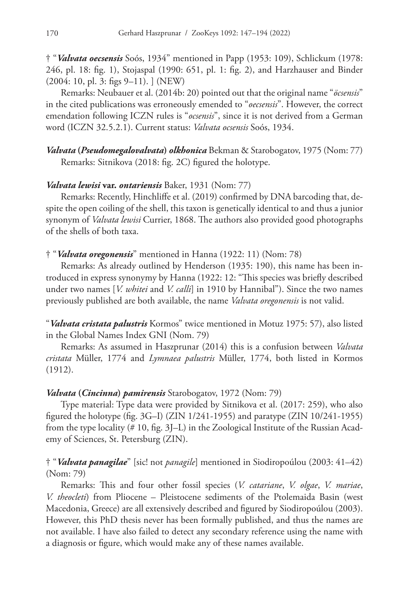† "*Valvata oecsensis* Soós, 1934" mentioned in Papp (1953: 109), Schlickum (1978: 246, pl. 18: fig. 1), Stojaspal (1990: 651, pl. 1: fig. 2), and Harzhauser and Binder (2004: 10, pl. 3: figs 9–11). ] (NEW)

Remarks: Neubauer et al. (2014b: 20) pointed out that the original name "*öcsensis*" in the cited publications was erroneously emended to "*oecsensis*". However, the correct emendation following ICZN rules is "*ocsensis*", since it is not derived from a German word (ICZN 32.5.2.1). Current status: *Valvata ocsensis* Soós, 1934.

*Valvata* **(***Pseudomegalovalvata***)** *olkhonica* Bekman & Starobogatov, 1975 (Nom: 77) Remarks: Sitnikova (2018: fig. 2C) figured the holotype.

### *Valvata lewisi* **var.** *ontariensis* Baker, 1931 (Nom: 77)

Remarks: Recently, Hinchliffe et al. (2019) confirmed by DNA barcoding that, despite the open coiling of the shell, this taxon is genetically identical to and thus a junior synonym of *Valvata lewisi* Currier, 1868. The authors also provided good photographs of the shells of both taxa.

### † "*Valvata oregonensis*" mentioned in Hanna (1922: 11) (Nom: 78)

Remarks: As already outlined by Henderson (1935: 190), this name has been introduced in express synonymy by Hanna (1922: 12: "This species was briefly described under two names [*V. whitei* and *V. calli*] in 1910 by Hannibal"). Since the two names previously published are both available, the name *Valvata oregonensis* is not valid.

"*Valvata cristata palustris* Kormos" twice mentioned in Motuz 1975: 57), also listed in the Global Names Index GNI (Nom. 79)

Remarks: As assumed in Haszprunar (2014) this is a confusion between *Valvata cristata* Müller, 1774 and *Lymnaea palustris* Müller, 1774, both listed in Kormos (1912).

### *Valvata* **(***Cincinna***)** *pamirensis* Starobogatov, 1972 (Nom: 79)

Type material: Type data were provided by Sitnikova et al. (2017: 259), who also figured the holotype (fig. 3G–I) (ZIN 1/241-1955) and paratype (ZIN 10/241-1955) from the type locality (# 10, fig. 3J–L) in the Zoological Institute of the Russian Academy of Sciences, St. Petersburg (ZIN).

# † "*Valvata panagilae*" [sic! not *panagile*] mentioned in Siodiropoúlou (2003: 41–42) (Nom: 79)

Remarks: This and four other fossil species (*V. catariane*, *V. olgae*, *V. mariae*, *V. theocleti*) from Pliocene – Pleistocene sediments of the Ptolemaida Basin (west Macedonia, Greece) are all extensively described and figured by Siodiropoúlou (2003). However, this PhD thesis never has been formally published, and thus the names are not available. I have also failed to detect any secondary reference using the name with a diagnosis or figure, which would make any of these names available.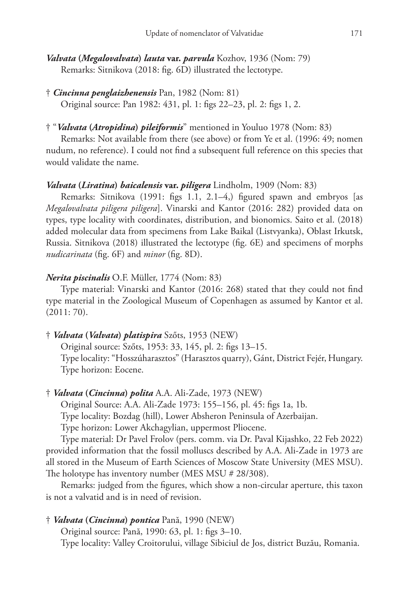- † *Cincinna penglaizhenensis* Pan, 1982 (Nom: 81) Original source: Pan 1982: 431, pl. 1: figs 22–23, pl. 2: figs 1, 2.
- † "*Valvata* **(***Atropidina***)** *pileiformis*" mentioned in Youluo 1978 (Nom: 83)

Remarks: Not available from there (see above) or from Ye et al. (1996: 49; nomen nudum, no reference). I could not find a subsequent full reference on this species that would validate the name.

# *Valvata* **(***Liratina***)** *baicalensis* **var.** *piligera* Lindholm, 1909 (Nom: 83)

Remarks: Sitnikova (1991: figs 1.1, 2.1–4,) figured spawn and embryos [as *Megalovalvata piligera piligera*]. Vinarski and Kantor (2016: 282) provided data on types, type locality with coordinates, distribution, and bionomics. Saito et al. (2018) added molecular data from specimens from Lake Baikal (Listvyanka), Oblast Irkutsk, Russia. Sitnikova (2018) illustrated the lectotype (fig. 6E) and specimens of morphs *nudicarinata* (fig. 6F) and *minor* (fig. 8D).

### *Nerita piscinalis* O.F. Müller, 1774 (Nom: 83)

Type material: Vinarski and Kantor (2016: 268) stated that they could not find type material in the Zoological Museum of Copenhagen as assumed by Kantor et al. (2011: 70).

† *Valvata* **(***Valvata***)** *platispira* Szőts, 1953 (NEW)

Original source: Szőts, 1953: 33, 145, pl. 2: figs 13–15. Type locality: "Hosszúharasztos" (Harasztos quarry), Gánt, District Fejér, Hungary. Type horizon: Eocene.

# † *Valvata* **(***Cincinna***)** *polita* A.A. Ali-Zade, 1973 (NEW)

Original Source: A.A. Ali-Zade 1973: 155–156, pl. 45: figs 1a, 1b.

Type locality: Bozdag (hill), Lower Absheron Peninsula of Azerbaijan.

Type horizon: Lower Akchagylian, uppermost Pliocene.

Type material: Dr Pavel Frolov (pers. comm. via Dr. Paval Kijashko, 22 Feb 2022) provided information that the fossil molluscs described by A.A. Ali-Zade in 1973 are all stored in the Museum of Earth Sciences of Moscow State University (MES MSU). The holotype has inventory number (MES MSU # 28/308).

Remarks: judged from the figures, which show a non-circular aperture, this taxon is not a valvatid and is in need of revision.

# † *Valvata* **(***Cincinna***)** *pontica* Pană, 1990 (NEW)

Original source: Pană, 1990: 63, pl. 1: figs 3–10.

Type locality: Valley Croitorului, village Sibiciul de Jos, district Buzău, Romania.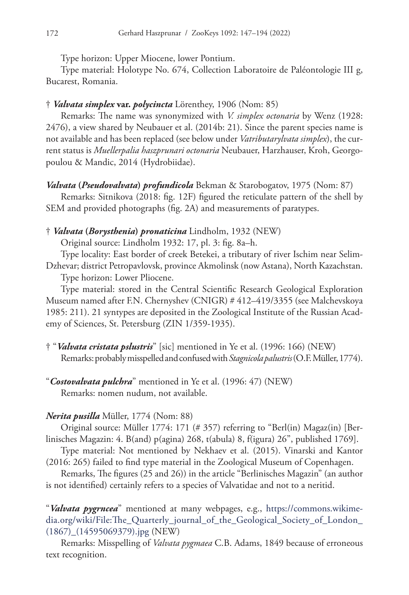Type horizon: Upper Miocene, lower Pontium.

Type material: Holotype No. 674, Collection Laboratoire de Paléontologie III g, Bucarest, Romania.

### † *Valvata simplex* **var.** *polycincta* Lörenthey, 1906 (Nom: 85)

Remarks: The name was synonymized with *V. simplex octonaria* by Wenz (1928: 2476), a view shared by Neubauer et al. (2014b: 21). Since the parent species name is not available and has been replaced (see below under *Vatributarylvata simplex*), the current status is *Muellerpalia haszprunari octonaria* Neubauer, Harzhauser, Kroh, Georgopoulou & Mandic, 2014 (Hydrobiidae).

*Valvata* **(***Pseudovalvata***)** *profundicola* Bekman & Starobogatov, 1975 (Nom: 87)

Remarks: Sitnikova (2018: fig. 12F) figured the reticulate pattern of the shell by SEM and provided photographs (fig. 2A) and measurements of paratypes.

† *Valvata* **(***Borysthenia***)** *pronaticina* Lindholm, 1932 (NEW)

Original source: Lindholm 1932: 17, pl. 3: fig. 8a–h.

Type locality: East border of creek Betekei, a tributary of river Ischim near Selim-Dzhevar; district Petropavlovsk, province Akmolinsk (now Astana), North Kazachstan.

Type horizon: Lower Pliocene.

Type material: stored in the Central Scientific Research Geological Exploration Museum named after F.N. Chernyshev (CNIGR) # 412–419/3355 (see Malchevskoya 1985: 211). 21 syntypes are deposited in the Zoological Institute of the Russian Academy of Sciences, St. Petersburg (ZIN 1/359-1935).

- † "*Valvata cristata pslustris*" [sic] mentioned in Ye et al. (1996: 166) (NEW) Remarks: probably misspelled and confused with *Stagnicola palustris* (O.F. Müller, 1774).
- "*Costovalvata pulchra*" mentioned in Ye et al. (1996: 47) (NEW) Remarks: nomen nudum, not available.

### *Nerita pusilla* Müller, 1774 (Nom: 88)

Original source: Müller 1774: 171 (# 357) referring to "Berl(in) Magaz(in) [Berlinisches Magazin: 4. B(and) p(agina) 268, t(abula) 8, f(igura) 26", published 1769].

Type material: Not mentioned by Nekhaev et al. (2015). Vinarski and Kantor (2016: 265) failed to find type material in the Zoological Museum of Copenhagen.

Remarks, The figures (25 and 26)) in the article "Berlinisches Magazin" (an author is not identified) certainly refers to a species of Valvatidae and not to a neritid.

"*Valvata pygrncea*" mentioned at many webpages, e.g., [https://commons.wikime](https://commons.wikimedia.org/wiki/File:The_Quarterly_journal_of_the_Geological_Society_of_London_(1867)_(14595069379).jpg)[dia.org/wiki/File:The\\_Quarterly\\_journal\\_of\\_the\\_Geological\\_Society\\_of\\_London\\_](https://commons.wikimedia.org/wiki/File:The_Quarterly_journal_of_the_Geological_Society_of_London_(1867)_(14595069379).jpg) [\(1867\)\\_\(14595069379\).jpg](https://commons.wikimedia.org/wiki/File:The_Quarterly_journal_of_the_Geological_Society_of_London_(1867)_(14595069379).jpg) (NEW)

Remarks: Misspelling of *Valvata pygmaea* C.B. Adams, 1849 because of erroneous text recognition.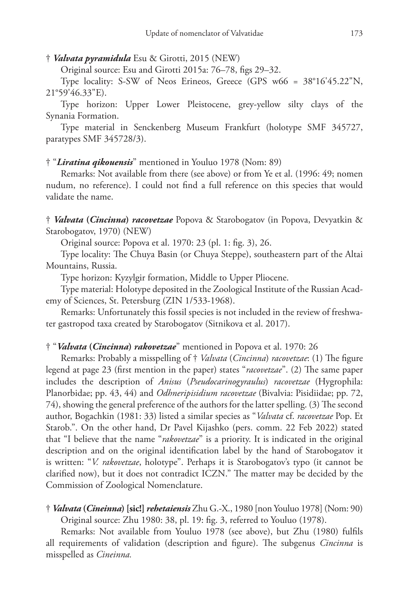### † *Valvata pyramidula* Esu & Girotti, 2015 (NEW)

Original source: Esu and Girotti 2015a: 76–78, figs 29–32.

Type locality: S-SW of Neos Erineos, Greece (GPS w66 = 38°16'45.22"N, 21°59'46.33"E).

Type horizon: Upper Lower Pleistocene, grey-yellow silty clays of the Synania Formation.

Type material in Senckenberg Museum Frankfurt (holotype SMF 345727, paratypes SMF 345728/3).

### † "*Liratina qikouensis*" mentioned in Youluo 1978 (Nom: 89)

Remarks: Not available from there (see above) or from Ye et al. (1996: 49; nomen nudum, no reference). I could not find a full reference on this species that would validate the name.

† *Valvata* **(***Cincinna***)** *racovetzae* Popova & Starobogatov (in Popova, Devyatkin & Starobogatov, 1970) (NEW)

Original source: Popova et al. 1970: 23 (pl. 1: fig. 3), 26.

Type locality: The Chuya Basin (or Chuya Steppe), southeastern part of the Altai Mountains, Russia.

Type horizon: Kyzylgir formation, Middle to Upper Pliocene.

Type material: Holotype deposited in the Zoological Institute of the Russian Academy of Sciences, St. Petersburg (ZIN 1/533-1968).

Remarks: Unfortunately this fossil species is not included in the review of freshwater gastropod taxa created by Starobogatov (Sitnikova et al. 2017).

### † "*Valvata* **(***Cincinna***)** *rakovetzae*" mentioned in Popova et al. 1970: 26

Remarks: Probably a misspelling of † *Valvata* (*Cincinna*) *racovetzae*: (1) The figure legend at page 23 (first mention in the paper) states "*racovetzae*". (2) The same paper includes the description of *Anisus* (*Pseudocarinogyraulus*) *racovetzae* (Hygrophila: Planorbidae; pp. 43, 44) and *Odhneripisidium racovetzae* (Bivalvia: Pisidiidae; pp. 72, 74), showing the general preference of the authors for the latter spelling. (3) The second author, Bogachkin (1981: 33) listed a similar species as "*Valvata* cf. *racovetzae* Pop. Et Starob.". On the other hand, Dr Pavel Kijashko (pers. comm. 22 Feb 2022) stated that "I believe that the name "*rakovetzae*" is a priority. It is indicated in the original description and on the original identification label by the hand of Starobogatov it is written: "*V. rakovetzae*, holotype". Perhaps it is Starobogatov's typo (it cannot be clarified now), but it does not contradict ICZN." The matter may be decided by the Commission of Zoological Nomenclature.

† *Valvata* **(***Cineinna***)[sic!]** *rehetaiensis* Zhu G.-X., 1980 [non Youluo 1978] (Nom: 90) Original source: Zhu 1980: 38, pl. 19: fig. 3, referred to Youluo (1978).

Remarks: Not available from Youluo 1978 (see above), but Zhu (1980) fulfils all requirements of validation (description and figure). The subgenus *Cincinna* is misspelled as *Cineinna.*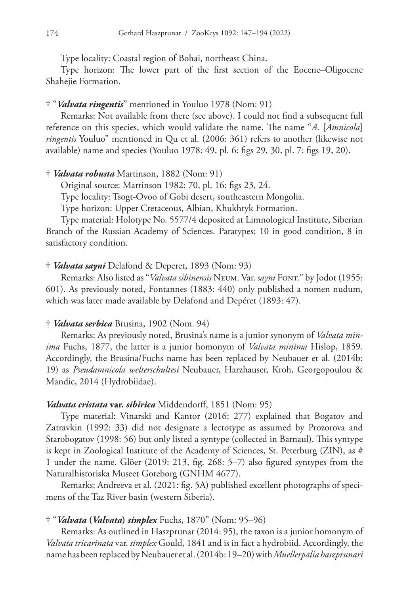Type locality: Coastal region of Bohai, northeast China.

Type horizon: The lower part of the first section of the Eocene–Oligocene Shahejie Formation.

### † "*Valvata ringentis*" mentioned in Youluo 1978 (Nom: 91)

Remarks: Not available from there (see above). I could not find a subsequent full reference on this species, which would validate the name. The name "*A.* [*Amnicola*] *ringentis* Youluo" mentioned in Qu et al. (2006: 361) refers to another (likewise not available) name and species (Youluo 1978: 49, pl. 6: figs 29, 30, pl. 7: figs 19, 20).

### † *Valvata robusta* Martinson, 1882 (Nom: 91)

Original source: Martinson 1982: 70, pl. 16: figs 23, 24.

Type locality: Tsogt-Ovoo of Gobi desert, southeastern Mongolia.

Type horizon: Upper Cretaceous, Albian, Khukhtyk Formation.

Type material: Holotype No. 5577/4 deposited at Limnological Institute, Siberian Branch of the Russian Academy of Sciences. Paratypes: 10 in good condition, 8 in satisfactory condition.

#### † *Valvata sayni* Delafond & Deperet, 1893 (Nom: 93)

Remarks: Also listed as "*Valvata sibinensis* Neum. Var. *sayni* Font." by Jodot (1955: 601). As previously noted, Fontannes (1883: 440) only published a nomen nudum, which was later made available by Delafond and Depéret (1893: 47).

### † *Valvata serbica* Brusina, 1902 (Nom. 94)

Remarks: As previously noted, Brusina's name is a junior synonym of *Valvata minima* Fuchs, 1877, the latter is a junior homonym of *Valvata minima* Hislop, 1859. Accordingly, the Brusina/Fuchs name has been replaced by Neubauer et al. (2014b: 19) as *Pseudamnicola welterschultesi* Neubauer, Harzhauser, Kroh, Georgopoulou & Mandic, 2014 (Hydrobiidae).

### *Valvata cristata* **var.** *sibirica* Middendorff, 1851 (Nom: 95)

Type material: Vinarski and Kantor (2016: 277) explained that Bogatov and Zatravkin (1992: 33) did not designate a lectotype as assumed by Prozorova and Starobogatov (1998: 56) but only listed a syntype (collected in Barnaul). This syntype is kept in Zoological Institute of the Academy of Sciences, St. Peterburg (ZIN), as # 1 under the name. Glöer (2019: 213, fig. 268: 5–7) also figured syntypes from the Naturalhistoriska Museet Goteborg (GNHM 4677).

Remarks: Andreeva et al. (2021: fig. 5A) published excellent photographs of specimens of the Taz River basin (western Siberia).

### † "*Valvata* **(***Valvata***)** *simplex* Fuchs, 1870" (Nom: 95–96)

Remarks: As outlined in Haszprunar (2014: 95), the taxon is a junior homonym of *Valvata tricarinata* var. *simplex* Gould, 1841 and is in fact a hydrobiid. Accordingly, the name has been replaced by Neubauer et al. (2014b: 19–20) with *Muellerpalia haszprunari*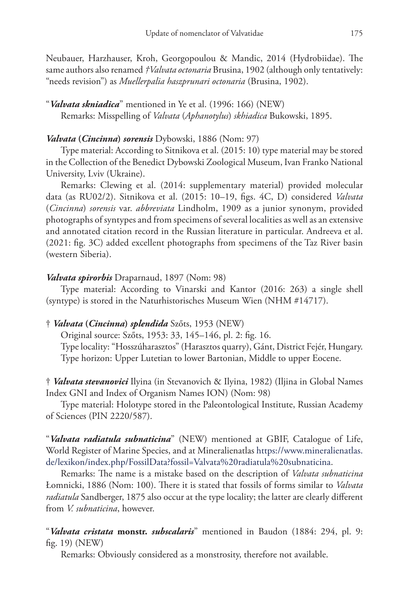Neubauer, Harzhauser, Kroh, Georgopoulou & Mandic, 2014 (Hydrobiidae). The same authors also renamed *†Valvata octonaria* Brusina, 1902 (although only tentatively: "needs revision") as *Muellerpalia haszprunari octonaria* (Brusina, 1902).

"*Valvata skniadica*" mentioned in Ye et al. (1996: 166) (NEW) Remarks: Misspelling of *Valvata* (*Aphanotylus*) *skhiadica* Bukowski, 1895.

### *Valvata* **(***Cincinna***)** *sorensis* Dybowski, 1886 (Nom: 97)

Type material: According to Sitnikova et al. (2015: 10) type material may be stored in the Collection of the Benedict Dybowski Zoological Museum, Ivan Franko National University, Lviv (Ukraine).

Remarks: Clewing et al. (2014: supplementary material) provided molecular data (as RU02/2). Sitnikova et al. (2015: 10–19, figs. 4C, D) considered *Valvata* (*Cincinna*) *sorensis* var. *abbreviata* Lindholm, 1909 as a junior synonym, provided photographs of syntypes and from specimens of several localities as well as an extensive and annotated citation record in the Russian literature in particular. Andreeva et al. (2021: fig. 3C) added excellent photographs from specimens of the Taz River basin (western Siberia).

### *Valvata spirorbis* Draparnaud, 1897 (Nom: 98)

Type material: According to Vinarski and Kantor (2016: 263) a single shell (syntype) is stored in the Naturhistorisches Museum Wien (NHM #14717).

### † *Valvata* **(***Cincinna***)** *splendida* Szőts, 1953 (NEW)

Original source: Szőts, 1953: 33, 145–146, pl. 2: fig. 16.

Type locality: "Hosszúharasztos" (Harasztos quarry), Gánt, District Fejér, Hungary. Type horizon: Upper Lutetian to lower Bartonian, Middle to upper Eocene.

† *Valvata stevanovici* Ilyina (in Stevanovich & Ilyina, 1982) (Iljina in Global Names Index GNI and Index of Organism Names ION) (Nom: 98)

Type material: Holotype stored in the Paleontological Institute, Russian Academy of Sciences (PIN 2220/587).

"*Valvata radiatula subnaticina*" (NEW) mentioned at GBIF, Catalogue of Life, World Register of Marine Species, and at Mineralienatlas [https://www.mineralienatlas.](https://www.mineralienatlas.de/lexikon/index.php/FossilData?fossil=Valvata%20radiatula%20subnaticina) [de/lexikon/index.php/FossilData?fossil=Valvata%20radiatula%20subnaticina](https://www.mineralienatlas.de/lexikon/index.php/FossilData?fossil=Valvata%20radiatula%20subnaticina).

Remarks: The name is a mistake based on the description of *Valvata subnaticina* Łomnicki, 1886 (Nom: 100). There it is stated that fossils of forms similar to *Valvata radiatula* Sandberger, 1875 also occur at the type locality; the latter are clearly different from *V. subnaticina*, however.

"*Valvata cristata* **monstr.** *subscalaris*" mentioned in Baudon (1884: 294, pl. 9: fig. 19) (NEW)

Remarks: Obviously considered as a monstrosity, therefore not available.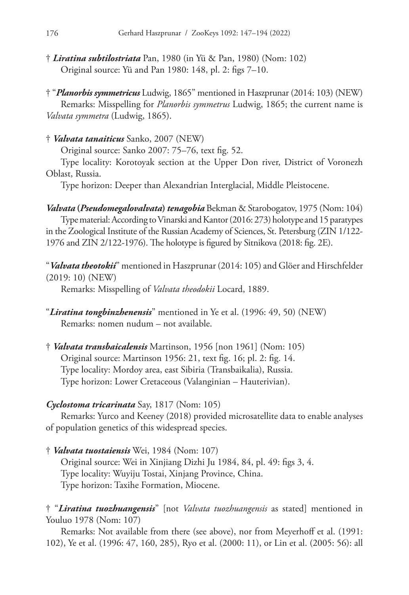† *Liratina subtilostriata* Pan, 1980 (in Yü & Pan, 1980) (Nom: 102) Original source: Yü and Pan 1980: 148, pl. 2: figs 7–10.

† "*Planorbis symmetricus* Ludwig, 1865" mentioned in Haszprunar (2014: 103) (NEW) Remarks: Misspelling for *Planorbis symmetrus* Ludwig, 1865; the current name is *Valvata symmetra* (Ludwig, 1865).

# † *Valvata tanaiticus* Sanko, 2007 (NEW)

Original source: Sanko 2007: 75–76, text fig. 52.

Type locality: Korotoyak section at the Upper Don river, District of Voronezh Oblast, Russia.

Type horizon: Deeper than Alexandrian Interglacial, Middle Pleistocene.

*Valvata* **(***Pseudomegalovalvata***)** *tenagobia* Bekman & Starobogatov, 1975 (Nom: 104) Type material: According to Vinarski and Kantor (2016: 273) holotype and 15 paratypes in the Zoological Institute of the Russian Academy of Sciences, St. Petersburg (ZIN 1/122- 1976 and ZIN 2/122-1976). The holotype is figured by Sitnikova (2018: fig. 2E).

"*Valvata theotokii*" mentioned in Haszprunar (2014: 105) and Glöer and Hirschfelder (2019: 10) (NEW)

Remarks: Misspelling of *Valvata theodokii* Locard, 1889.

- "*Liratina tongbinzhenensis*" mentioned in Ye et al. (1996: 49, 50) (NEW) Remarks: nomen nudum – not available.
- † *Valvata transbaicalensis* Martinson, 1956 [non 1961] (Nom: 105) Original source: Martinson 1956: 21, text fig. 16; pl. 2: fig. 14. Type locality: Mordoy area, east Sibiria (Transbaikalia), Russia. Type horizon: Lower Cretaceous (Valanginian – Hauterivian).

# *Cyclostoma tricarinata* Say, 1817 (Nom: 105)

Remarks: Yurco and Keeney (2018) provided microsatellite data to enable analyses of population genetics of this widespread species.

† *Valvata tuostaiensis* Wei, 1984 (Nom: 107) Original source: Wei in Xinjiang Dizhi Ju 1984, 84, pl. 49: figs 3, 4. Type locality: Wuyiju Tostai, Xinjang Province, China. Type horizon: Taxihe Formation, Miocene.

† "*Liratina tuozhuangensis*" [not *Valvata tuozhuangensis* as stated] mentioned in Youluo 1978 (Nom: 107)

Remarks: Not available from there (see above), nor from Meyerhoff et al. (1991: 102), Ye et al. (1996: 47, 160, 285), Ryo et al. (2000: 11), or Lin et al. (2005: 56): all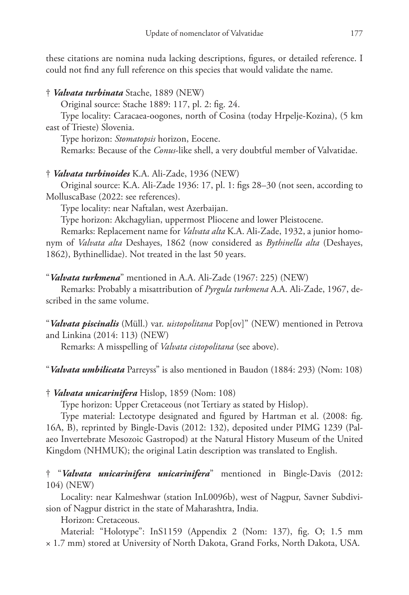these citations are nomina nuda lacking descriptions, figures, or detailed reference. I could not find any full reference on this species that would validate the name.

† *Valvata turbinata* Stache, 1889 (NEW)

Original source: Stache 1889: 117, pl. 2: fig. 24.

Type locality: Caracaea-oogones, north of Cosina (today Hrpelje-Kozina), (5 km east of Trieste) Slovenia.

Type horizon: *Stomatopsis* horizon, Eocene.

Remarks: Because of the *Conus*-like shell, a very doubtful member of Valvatidae.

# † *Valvata turbinoides* K.A. Ali-Zade, 1936 (NEW)

Original source: K.A. Ali-Zade 1936: 17, pl. 1: figs 28–30 (not seen, according to MolluscaBase (2022: see references).

Type locality: near Naftalan, west Azerbaijan.

Type horizon: Akchagylian, uppermost Pliocene and lower Pleistocene.

Remarks: Replacement name for *Valvata alta* K.A. Ali-Zade, 1932, a junior homonym of *Valvata alta* Deshayes, 1862 (now considered as *Bythinella alta* (Deshayes, 1862), Bythinellidae). Not treated in the last 50 years.

"*Valvata turkmena*" mentioned in A.A. Ali-Zade (1967: 225) (NEW)

Remarks: Probably a misattribution of *Pyrgula turkmena* A.A. Ali-Zade, 1967, described in the same volume.

"*Valvata piscinalis* (Müll.) var. *uistopolitana* Pop[ov]" (NEW) mentioned in Petrova and Linkina (2014: 113) (NEW)

Remarks: A misspelling of *Valvata cistopolitana* (see above).

"*Valvata umbilicata* Parreyss" is also mentioned in Baudon (1884: 293) (Nom: 108)

† *Valvata unicarinifera* Hislop, 1859 (Nom: 108)

Type horizon: Upper Cretaceous (not Tertiary as stated by Hislop).

Type material: Lectotype designated and figured by Hartman et al. (2008: fig. 16A, B), reprinted by Bingle-Davis (2012: 132), deposited under PIMG 1239 (Palaeo Invertebrate Mesozoic Gastropod) at the Natural History Museum of the United Kingdom (NHMUK); the original Latin description was translated to English.

† "*Valvata unicarinifera unicarinifera*" mentioned in Bingle-Davis (2012: 104) (NEW)

Locality: near Kalmeshwar (station InL0096b), west of Nagpur, Savner Subdivision of Nagpur district in the state of Maharashtra, India.

Horizon: Cretaceous.

Material: "Holotype": InS1159 (Appendix 2 (Nom: 137), fig. O; 1.5 mm × 1.7 mm) stored at University of North Dakota, Grand Forks, North Dakota, USA.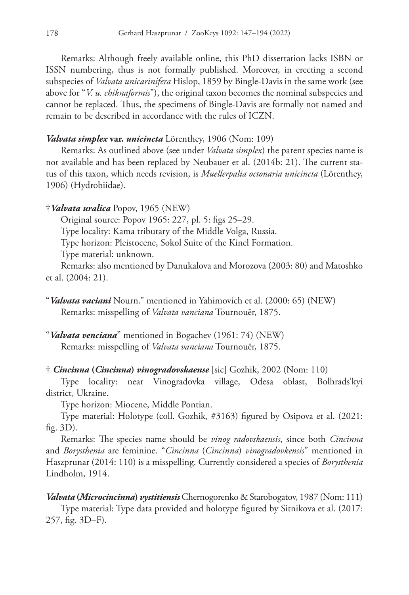Remarks: Although freely available online, this PhD dissertation lacks ISBN or ISSN numbering, thus is not formally published. Moreover, in erecting a second subspecies of *Valvata unicarinifera* Hislop, 1859 by Bingle-Davis in the same work (see above for "*V. u. chiknaformis*"), the original taxon becomes the nominal subspecies and cannot be replaced. Thus, the specimens of Bingle-Davis are formally not named and remain to be described in accordance with the rules of ICZN.

### *Valvata simplex* **var.** *unicincta* Lörenthey, 1906 (Nom: 109)

Remarks: As outlined above (see under *Valvata simplex*) the parent species name is not available and has been replaced by Neubauer et al. (2014b: 21). The current status of this taxon, which needs revision, is *Muellerpalia octonaria unicincta* (Lörenthey, 1906) (Hydrobiidae).

### †*Valvata uralica* Popov, 1965 (NEW)

Original source: Popov 1965: 227, pl. 5: figs 25–29.

Type locality: Kama tributary of the Middle Volga, Russia.

Type horizon: Pleistocene, Sokol Suite of the Kinel Formation.

Type material: unknown.

Remarks: also mentioned by Danukalova and Morozova (2003: 80) and Matoshko et al. (2004: 21).

"*Valvata venciana*" mentioned in Bogachev (1961: 74) (NEW) Remarks: misspelling of *Valvata vanciana* Tournouër, 1875.

### † *Cincinna* **(***Cincinna***)** *vinogradovskaense* [sic] Gozhik, 2002 (Nom: 110)

Type locality: near Vinogradovka village, Odesa oblast, Bolhrads'kyi district, Ukraine.

Type horizon: Miocene, Middle Pontian.

Type material: Holotype (coll. Gozhik, #3163) figured by Osipova et al. (2021: fig. 3D).

Remarks: The species name should be *vinog radovskaensis*, since both *Cincinna* and *Borysthenia* are feminine. "*Cincinna* (*Cincinna*) *vinogradovkensis*" mentioned in Haszprunar (2014: 110) is a misspelling. Currently considered a species of *Borysthenia* Lindholm, 1914.

*Valvata* **(***Microcincinna***)** *vystitiensis* Chernogorenko & Starobogatov, 1987 (Nom: 111) Type material: Type data provided and holotype figured by Sitnikova et al. (2017: 257, fig. 3D–F).

<sup>&</sup>quot;*Valvata vaciani* Nourn." mentioned in Yahimovich et al. (2000: 65) (NEW) Remarks: misspelling of *Valvata vanciana* Tournouër, 1875.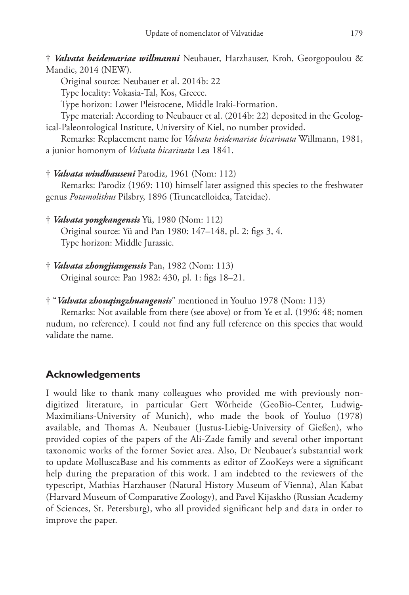† *Valvata heidemariae willmanni* Neubauer, Harzhauser, Kroh, Georgopoulou & Mandic, 2014 (NEW).

Original source: Neubauer et al. 2014b: 22

Type locality: Vokasia-Tal, Kos, Greece.

Type horizon: Lower Pleistocene, Middle Iraki-Formation.

Type material: According to Neubauer et al. (2014b: 22) deposited in the Geological-Paleontological Institute, University of Kiel, no number provided.

Remarks: Replacement name for *Valvata heidemariae bicarinata* Willmann, 1981, a junior homonym of *Valvata bicarinata* Lea 1841.

† *Valvata windhauseni* Parodiz, 1961 (Nom: 112)

Remarks: Parodiz (1969: 110) himself later assigned this species to the freshwater genus *Potamolithus* Pilsbry, 1896 (Truncatelloidea, Tateidae).

† *Valvata yongkangensis* Yü, 1980 (Nom: 112)

Original source: Yü and Pan 1980: 147–148, pl. 2: figs 3, 4. Type horizon: Middle Jurassic.

† *Valvata zhongjiangensis* Pan, 1982 (Nom: 113) Original source: Pan 1982: 430, pl. 1: figs 18–21.

† "*Valvata zhouqingzhuangensis*" mentioned in Youluo 1978 (Nom: 113)

Remarks: Not available from there (see above) or from Ye et al. (1996: 48; nomen nudum, no reference). I could not find any full reference on this species that would validate the name.

# **Acknowledgements**

I would like to thank many colleagues who provided me with previously nondigitized literature, in particular Gert Wörheide (GeoBio-Center, Ludwig-Maximilians-University of Munich), who made the book of Youluo (1978) available, and Thomas A. Neubauer (Justus-Liebig-University of Gießen), who provided copies of the papers of the Ali-Zade family and several other important taxonomic works of the former Soviet area. Also, Dr Neubauer's substantial work to update MolluscaBase and his comments as editor of ZooKeys were a significant help during the preparation of this work. I am indebted to the reviewers of the typescript, Mathias Harzhauser (Natural History Museum of Vienna), Alan Kabat (Harvard Museum of Comparative Zoology), and Pavel Kijaskho (Russian Academy of Sciences, St. Petersburg), who all provided significant help and data in order to improve the paper.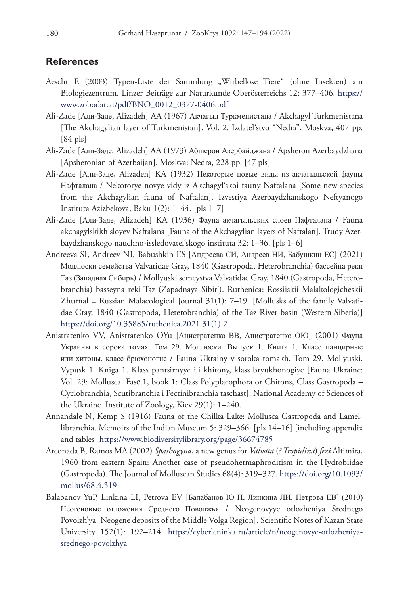### **References**

- Aescht E (2003) Typen-Liste der Sammlung "Wirbellose Tiere" (ohne Insekten) am Biologiezentrum. Linzer Beiträge zur Naturkunde Oberösterreichs 12: 377–406. [https://](https://www.zobodat.at/pdf/BNO_0012_0377-0406.pdf) [www.zobodat.at/pdf/BNO\\_0012\\_0377-0406.pdf](https://www.zobodat.at/pdf/BNO_0012_0377-0406.pdf)
- Ali-Zade [Али-Заде, Alizadeh] AA (1967) Акчагыл Туркменистана / Akchagyl Turkmenistana [The Akchagylian layer of Turkmenistan]. Vol. 2. Izdatel'stvo "Nedra", Moskva, 407 pp.  $[84 \text{ pls}]$
- Ali-Zade [Али-Заде, Alizadeh] AA (1973) Абшерон Азербайджана / Apsheron Azerbaydzhana [Apsheronian of Azerbaijan]. Moskva: Nedra, 228 pp. [47 pls]
- Ali-Zade [Али-Заде, Alizadeh] KA (1932) Некоторые новые виды из акчагыльской фауны Нафталана / Nekotorye novye vidy iz Akchagyl'skoi fauny Naftalana [Some new species from the Akchagylian fauna of Naftalan]. Izvestiya Azerbaydzhanskogo Neftyanogo Instituta Azizbekova, Baku 1(2): 1–44. [pls 1–7]
- Ali-Zade [Али-Заде, Alizadeh] KA (1936) Фауна акчагыльских слоев Нафталана / Fauna akchagylskikh sloyev Naftalana [Fauna of the Akchagylian layers of Naftalan]. Trudy Azerbaydzhanskogo nauchno-issledovatel'skogo instituta 32: 1–36. [pls 1–6]
- Andreeva SI, Andreev NI, Babushkin ES [Андреева СИ, Андреев НИ, Бабушкин ЕС] (2021) Моллюски семейства Valvatidae Gray, 1840 (Gastropoda, Heterobranchia) бассейна реки Таз (Западная Сибирь) / Mollyuski semeystva Valvatidae Gray, 1840 (Gastropoda, Heterobranchia) basseyna reki Taz (Zapadnaya Sibir'). Ruthenica: Rossiiskii Malakologicheskii Zhurnal = Russian Malacological Journal  $31(1)$ :  $7-19$ . [Mollusks of the family Valvatidae Gray, 1840 (Gastropoda, Heterobranchia) of the Taz River basin (Western Siberia)] [https://doi.org/10.35885/ruthenica.2021.31\(1\).2](https://doi.org/10.35885/ruthenica.2021.31(1).2)
- Anistratenko VV, Anistratenko OYu [Анистратенко ВВ, Анистратенко ОЮ] (2001) Фауна Украины в сорока томах. Том 29. Моллюски. Выпуск 1. Книга 1. Класс панцирные или хитоны, класс брюхоногие / Fauna Ukrainy v soroka tomakh. Tom 29. Mollyuski. Vypusk 1. Kniga 1. Klass pantsirnyye ili khitony, klass bryukhonogiye [Fauna Ukraine: Vol. 29: Mollusca. Fasс.1, book 1: Class Polyplacophora or Chitons, Class Gastropoda – Cyclobranchia, Scutibranchia i Pectinibranchia taschast]. National Academy of Sciences of the Ukraine. Institute of Zoology, Kiev 29(1): 1–240.
- Annandale N, Kemp S (1916) Fauna of the Chilka Lake: Mollusca Gastropoda and Lamellibranchia. Memoirs of the Indian Museum 5: 329–366. [pls 14–16] [including appendix and tables] <https://www.biodiversitylibrary.org/page/36674785>
- Arconada B, Ramos MA (2002) *Spathogyna*, a new genus for *Valvata* (*? Tropidina*) *fezi* Altimira, 1960 from eastern Spain: Another case of pseudohermaphroditism in the Hydrobiidae (Gastropoda). The Journal of Molluscan Studies 68(4): 319–327. [https://doi.org/10.1093/](https://doi.org/10.1093/mollus/68.4.319) [mollus/68.4.319](https://doi.org/10.1093/mollus/68.4.319)
- Balabanov YuP, Linkina LI, Petrova EV [Балабанов Ю П, Линкина ЛИ, Петрова ЕВ] (2010) Неогеновые отложения Среднего Поволжья / Neogenovyye otlozheniya Srednego Povolzh'ya [Neogene deposits of the Middle Volga Region]. Scientific Notes of Kazan State University 152(1): 192–214. [https://cyberleninka.ru/article/n/neogenovye-otlozheniya](https://cyberleninka.ru/article/n/neogenovye-otlozheniya-srednego-povolzhya)[srednego-povolzhya](https://cyberleninka.ru/article/n/neogenovye-otlozheniya-srednego-povolzhya)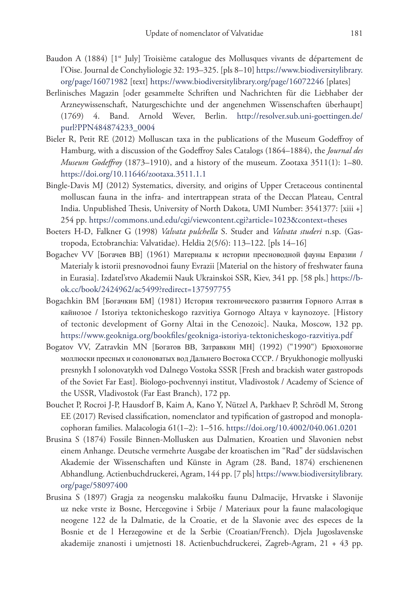- Baudon A (1884) [1<sup>st</sup> July] Troisième catalogue des Mollusques vivants de département de l'Oise. Journal de Conchyliologie 32: 193–325. [pls 8–10] [https://www.biodiversitylibrary.](https://www.biodiversitylibrary.org/page/16071982) [org/page/16071982](https://www.biodiversitylibrary.org/page/16071982) [text] <https://www.biodiversitylibrary.org/page/16072246>[plates]
- Berlinisches Magazin [oder gesammelte Schriften und Nachrichten für die Liebhaber der Arzneywissenschaft, Naturgeschichte und der angenehmen Wissenschaften überhaupt] (1769) 4. Band. Arnold Wever, Berlin. [http://resolver.sub.uni-goettingen.de/](http://resolver.sub.uni-goettingen.de/purl?PPN484874233_0004) [purl?PPN484874233\\_0004](http://resolver.sub.uni-goettingen.de/purl?PPN484874233_0004)
- Bieler R, Petit RE (2012) Molluscan taxa in the publications of the Museum Godeffroy of Hamburg, with a discussion of the Godeffroy Sales Catalogs (1864–1884), the *Journal des Museum Godeffroy* (1873–1910), and a history of the museum. Zootaxa 3511(1): 1–80. <https://doi.org/10.11646/zootaxa.3511.1.1>
- Bingle-Davis MJ (2012) Systematics, diversity, and origins of Upper Cretaceous continental molluscan fauna in the infra- and intertrappean strata of the Deccan Plateau, Central India. Unpublished Thesis, University of North Dakota, UMI Number: 3541377: [xiii +] 254 pp. <https://commons.und.edu/cgi/viewcontent.cgi?article=1023&context=theses>
- Boeters H-D, Falkner G (1998) *Valvata pulchella* S. Studer and *Valvata studeri* n.sp. (Gastropoda, Ectobranchia: Valvatidae). Heldia 2(5/6): 113–122. [pls 14–16]
- Bogachev VV [Богачев ВВ] (1961) Материалы к истории пресноводной фауны Евразии / Materialy k istorii presnovodnoi fauny Evrazii [Material on the history of freshwater fauna in Eurasia]. Izdatel'stvo Akademii Nauk Ukrainskoi SSR, Kiev, 341 pp. [58 pls.] [https://b](https://b-ok.cc/book/2424962/ac5499?redirect=137597755)[ok.cc/book/2424962/ac5499?redirect=137597755](https://b-ok.cc/book/2424962/ac5499?redirect=137597755)
- Bogachkin BM [Богачкин БМ] (1981) История тектонического развития Горного Алтая в кайнозое / Istoriya tektonicheskogo razvitiya Gornogo Altaya v kaynozoye. [History of tectonic development of Gorny Altai in the Cenozoic]. Nauka, Moscow, 132 pp. <https://www.geokniga.org/bookfiles/geokniga-istoriya-tektonicheskogo-razvitiya.pdf>
- Bogatov VV, Zatravkin MN [Богатов ВВ, Затравкин МН] (1992) ("1990") Брюxoногие моллюски пpecныx и солоноватыx вoд Дальнего Востока СССР. / Bryukhonogie mollyuski presnykh I solonovatykh vod Dalnego Vostoka SSSR [Fresh and brackish water gastropods of the Soviet Far East]. Biologo-pochvennyi institut, Vladivostok / Academy of Science of the USSR, Vladivostok (Far East Branch), 172 pp.
- Bouchet P, Rocroi J-P, Hausdorf B, Kaim A, Kano Y, Nützel A, Parkhaev P, Schrödl M, Strong EE (2017) Revised classification, nomenclator and typification of gastropod and monoplacophoran families. Malacologia 61(1–2): 1–516. <https://doi.org/10.4002/040.061.0201>
- Brusina S (1874) Fossile Binnen-Mollusken aus Dalmatien, Kroatien und Slavonien nebst einem Anhange. Deutsche vermehrte Ausgabe der kroatischen im "Rad" der südslavischen Akademie der Wissenschaften und Künste in Agram (28. Band, 1874) erschienenen Abhandlung. Actienbuchdruckerei, Agram, 144 pp. [7 pls] [https://www.biodiversitylibrary.](https://www.biodiversitylibrary.org/page/58097400) [org/page/58097400](https://www.biodiversitylibrary.org/page/58097400)
- Brusina S (1897) Gragja za neogensku malakošku faunu Dalmacije, Hrvatske i Slavonije uz neke vrste iz Bosne, Hercegovine i Srbije / Materiaux pour la faune malacologique neogene 122 de la Dalmatie, de la Croatie, et de la Slavonie avec des especes de la Bosnie et de l Herzegowine et de la Serbie (Croatian/French). Djela Jugoslavenske akademije znanosti i umjetnosti 18. Actienbuchdruckerei, Zagreb-Agram, 21 + 43 pp.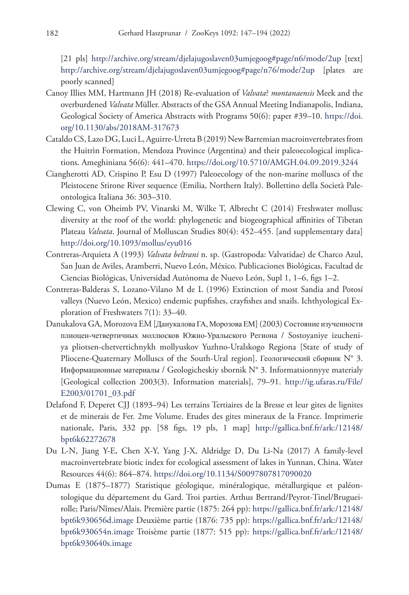[21 pls] <http://archive.org/stream/djelajugoslaven03umjegoog#page/n6/mode/2up> [text] <http://archive.org/stream/djelajugoslaven03umjegoog#page/n76/mode/2up> [plates are poorly scanned]

- Canoy Illies MM, Hartmann JH (2018) Re-evaluation of *Valvata*? *montanaensis* Meek and the overburdened *Valvata* Müller. Abstracts of the GSA Annual Meeting Indianapolis, Indiana, Geological Society of America Abstracts with Programs 50(6): paper #39–10. [https://doi.](https://doi.org/10.1130/abs/2018AM-317673) [org/10.1130/abs/2018AM-317673](https://doi.org/10.1130/abs/2018AM-317673)
- Cataldo CS, Lazo DG, Luci L, Aguirre-Urreta B (2019) New Barremian macroinvertebrates from the Huitrìn Formation, Mendoza Province (Argentina) and their paleoecological implications. Ameghiniana 56(6): 441–470. <https://doi.org/10.5710/AMGH.04.09.2019.3244>
- Ciangherotti AD, Crispino P, Esu D (1997) Paleoecology of the non-marine molluscs of the Pleistocene Stirone River sequence (Emilia, Northern Italy). Bollettino della Società Paleontologica Italiana 36: 303–310.
- Clewing C, von Oheimb PV, Vinarski M, Wilke T, Albrecht C (2014) Freshwater mollusc diversity at the roof of the world: phylogenetic and biogeographical affinities of Tibetan Plateau *Valvata*. Journal of Molluscan Studies 80(4): 452–455. [and supplementary data] <http://doi.org/10.1093/mollus/eyu016>
- Contreras-Arquieta A (1993) *Valvata beltrani* n. sp. (Gastropoda: Valvatidae) de Charco Azul, San Juan de Aviles, Aramberri, Nuevo León, México. Publicaciones Biológicas, Facultad de Ciencias Biológicas, Universidad Autónoma de Nuevo León, Supl 1, 1–6, figs 1–2.
- Contreras-Balderas S, Lozano-Vilano M de L (1996) Extinction of most Sandia and Potosí valleys (Nuevo León, Mexico) endemic pupfishes, crayfishes and snails. Ichthyological Exploration of Freshwaters 7(1): 33–40.
- Danukalova GA, Morozova EM [Данукалова ГА, Морозова ЕМ] (2003) Состояние изученноcти плиоцен-четвертичных моллюсков Южно-Уралыского Pегиoна / Sostoyaniye izucheniya pliotsen-chetvertichnykh mollyuskov Yuzhno-Uralskogo Regiona [State of study of Pliocene-Quaternary Molluscs of the South-Ural region]. Геологический сборник N° 3. Информационные материалы / Geologicheskiy sbornik N° 3. Informatsionnyye materialy [Geological collection 2003(3). Information materials], 79–91. [http://ig.ufaras.ru/File/](http://ig.ufaras.ru/File/E2003/01701_03.pdf) [E2003/01701\\_03.pdf](http://ig.ufaras.ru/File/E2003/01701_03.pdf)
- Delafond F, Deperet CJJ (1893–94) Les terrains Tertiaires de la Bresse et leur gites de lignites et de minerais de Fer. 2me Volume. Etudes des gites mineraux de la France. Imprimerie nationale, Paris, 332 pp. [58 figs, 19 pls, 1 map] [http://gallica.bnf.fr/ark:/12148/](http://gallica.bnf.fr/ark:/12148/bpt6k62272678) [bpt6k62272678](http://gallica.bnf.fr/ark:/12148/bpt6k62272678)
- Du L-N, Jiang Y-E, Chen X-Y, Yang J-X, Aldridge D, Du Li-Na (2017) A family-level macroinvertebrate biotic index for ecological assessment of lakes in Yunnan, China. Water Resources 44(6): 864–874.<https://doi.org/10.1134/S0097807817090020>
- Dumas E (1875–1877) Statistique géologique, minéralogique, métallurgique et paléontologique du département du Gard. Troi parties. Arthus Bertrand/Peyrot-Tinel/Brugueirolle; Paris/Nîmes/Alais. Première partie (1875: 264 pp): [https://gallica.bnf.fr/ark:/12148/](https://gallica.bnf.fr/ark:/12148/bpt6k930656d.image) [bpt6k930656d.image](https://gallica.bnf.fr/ark:/12148/bpt6k930656d.image) Deuxième partie (1876: 735 pp): [https://gallica.bnf.fr/ark:/12148/](https://gallica.bnf.fr/ark:/12148/bpt6k930654n.image) [bpt6k930654n.image](https://gallica.bnf.fr/ark:/12148/bpt6k930654n.image) Troisème partie (1877: 515 pp): [https://gallica.bnf.fr/ark:/12148/](https://gallica.bnf.fr/ark:/12148/bpt6k930640s.image) [bpt6k930640s.image](https://gallica.bnf.fr/ark:/12148/bpt6k930640s.image)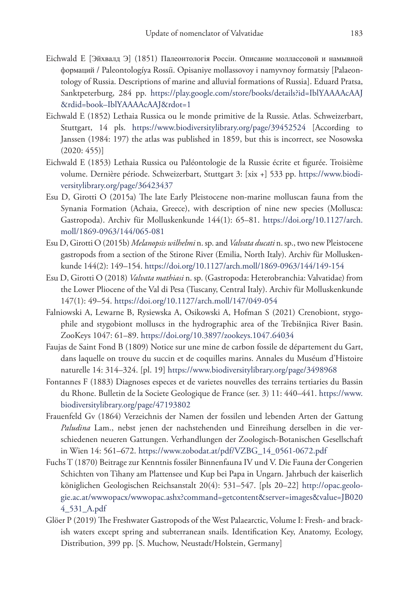- Eichwald E [Эйхвалд Э] (1851) Палеонтологія Россіи. Описание моллассовой и намывной формаций / Paleontologíya Rossíi. Opisaniye mollassovoy i namyvnoy formatsiy [Palaeontology of Russia. Descriptions of marine and alluvial formations of Russia]. Eduard Pratsa, Sanktpeterburg, 284 pp. [https://play.google.com/store/books/details?id=IblYAAAAcAAJ](https://play.google.com/store/books/details?id=IblYAAAAcAAJ&rdid=book%E2%80%93IblYAAAAcAAJ&rdot=1) [&rdid=book–IblYAAAAcAAJ&rdot=1](https://play.google.com/store/books/details?id=IblYAAAAcAAJ&rdid=book%E2%80%93IblYAAAAcAAJ&rdot=1)
- Eichwald E (1852) Lethaia Russica ou le monde primitive de la Russie. Atlas. Schweizerbart, Stuttgart, 14 pls. <https://www.biodiversitylibrary.org/page/39452524>[According to Janssen (1984: 197) the atlas was published in 1859, but this is incorrect, see Nosowska (2020: 455)]
- Eichwald E (1853) Lethaia Russica ou Paléontologie de la Russie écrite et figurée. Troisième volume. Dernière période. Schweizerbart, Stuttgart 3: [xix +] 533 pp. [https://www.biodi](https://www.biodiversitylibrary.org/page/36423437)[versitylibrary.org/page/36423437](https://www.biodiversitylibrary.org/page/36423437)
- Esu D, Girotti O (2015a) The late Early Pleistocene non-marine molluscan fauna from the Synania Formation (Achaia, Greece), with description of nine new species (Mollusca: Gastropoda). Archiv für Molluskenkunde 144(1): 65–81. [https://doi.org/10.1127/arch.](https://doi.org/10.1127/arch.moll/1869-0963/144/065-081) [moll/1869-0963/144/065-081](https://doi.org/10.1127/arch.moll/1869-0963/144/065-081)
- Esu D, Girotti O (2015b) *Melanopsis wilhelmi* n. sp. and *Valvata ducati* n. sp., two new Pleistocene gastropods from a section of the Stirone River (Emilia, North Italy). Archiv für Molluskenkunde 144(2): 149–154. <https://doi.org/10.1127/arch.moll/1869-0963/144/149-154>
- Esu D, Girotti O (2018) *Valvata mathiasi* n. sp. (Gastropoda: Heterobranchia: Valvatidae) from the Lower Pliocene of the Val di Pesa (Tuscany, Central Italy). Archiv für Molluskenkunde 147(1): 49–54. <https://doi.org/10.1127/arch.moll/147/049-054>
- Falniowski A, Lewarne B, Rysiewska A, Osikowski A, Hofman S (2021) Crenobiont, stygophile and stygobiont molluscs in the hydrographic area of the Trebišnjica River Basin. ZooKeys 1047: 61–89.<https://doi.org/10.3897/zookeys.1047.64034>
- Faujas de Saint Fond B (1809) Notice sur une mine de carbon fossile de département du Gart, dans laquelle on trouve du succin et de coquilles marins. Annales du Muséum d'Histoire naturelle 14: 314–324. [pl. 19] <https://www.biodiversitylibrary.org/page/3498968>
- Fontannes F (1883) Diagnoses especes et de varietes nouvelles des terrains tertiaries du Bassin du Rhone. Bulletin de la Societe Geologique de France (ser. 3) 11: 440–441. [https://www.](https://www.biodiversitylibrary.org/page/47193802) [biodiversitylibrary.org/page/47193802](https://www.biodiversitylibrary.org/page/47193802)
- Frauenfeld Gv (1864) Verzeichnis der Namen der fossilen und lebenden Arten der Gattung *Paludina* Lam., nebst jenen der nachstehenden und Einreihung derselben in die verschiedenen neueren Gattungen. Verhandlungen der Zoologisch-Botanischen Gesellschaft in Wien 14: 561–672. [https://www.zobodat.at/pdf/VZBG\\_14\\_0561-0672.pdf](https://www.zobodat.at/pdf/VZBG_14_0561-0672.pdf)
- Fuchs T (1870) Beitrage zur Kenntnis fossiler Binnenfauna IV und V. Die Fauna der Congerien Schichten von Tihany am Plattensee und Kup bei Papa in Ungarn. Jahrbuch der kaiserlich königlichen Geologischen Reichsanstalt 20(4): 531–547. [pls 20–22] [http://opac.geolo](http://opac.geologie.ac.at/wwwopacx/wwwopac.ashx?command=getcontent&server=images&value=JB0204_531_A.pdf)[gie.ac.at/wwwopacx/wwwopac.ashx?command=getcontent&server=images&value=JB020](http://opac.geologie.ac.at/wwwopacx/wwwopac.ashx?command=getcontent&server=images&value=JB0204_531_A.pdf) [4\\_531\\_A.pdf](http://opac.geologie.ac.at/wwwopacx/wwwopac.ashx?command=getcontent&server=images&value=JB0204_531_A.pdf)
- Glöer P (2019) The Freshwater Gastropods of the West Palaearctic, Volume I: Fresh- and brackish waters except spring and subterranean snails. Identification Key, Anatomy, Ecology, Distribution, 399 pp. [S. Muchow, Neustadt/Holstein, Germany]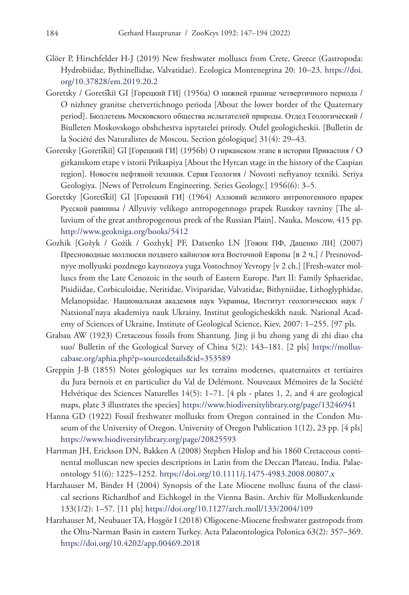- Glöer P, Hirschfelder H-J (2019) New freshwater molluscs from Crete, Greece (Gastropoda: Hydrobiidae, Bythinellidae, Valvatidae). Ecologica Montenegrina 20: 10–23. [https://doi.](https://doi.org/10.37828/em.2019.20.2) [org/10.37828/em.2019.20.2](https://doi.org/10.37828/em.2019.20.2)
- Goretsky / Goretskii GI [Горецкий ГИ] (1956а) О нижней границе четвертичного периода / O nizhney granitse chetvertichnogo perioda [About the lower border of the Quaternary period]. Бюллетень Московского общества ислытателей природы. Oтдeд Геолoгичecкий / Biulleten Moskovskogo obshchestva ispytatelei prirody. Otdel geologicheskii. [Bulletin de la Société des Naturalistes de Moscou, Section géologique] 31(4): 29–43.
- Goretsky [Gorets̄kiĭ] GI [Горецкий ГИ] (1956b) О гирканском этапе в истории Прикаспия / О girkanskom etape v istorii Prikaspiya [About the Hyrcan stage in the history of the Caspian region]. Новости нефтяной теxники. Серия Геология / Novosti neftyanoy texniki. Seriya Geologiya. [News of Petroleum Engineering. Series Geology.] 1956(6): 3–5.
- Goretsky [Goretskii] GI [Горецкий ГИ] (1964) Аллювий великого антропогенного прарек Русской равнины / Allyuviy velikogo antropogennogo prapek Russkoy ravniny [The alluvium of the great anthropogenous preek of the Russian Plain]. Nauka, Moscow, 415 pp. <http://www.geokniga.org/books/5412>
- Gozhik [Gožyk / Gożik / Gozhyk] PF, Datsenko LN [Гожик ПФ, Даценко ЛН] (2007) Пресноводные моллюски позднего кайнозоя юга Восточной Европы [в 2 ч.] / Presnovodnyye mollyuski pozdnego kaynozoya yuga Vostochnoy Yevropy [v 2 ch.] [Fresh-water molluscs from the Late Cenozoic in the south of Eastern Europe. Part II: Family Sphaeridae, Pisidiidae, Corbiculoidae, Neritidae, Viviparidae, Valvatidae, Bithyniidae, Lithoglyphidae, Melanopsidae. Национальная академия наук Украины, Институт геологических наук / Natsional'naya akademiya nauk Ukrainy, Institut geologicheskikh nauk. National Academy of Sciences of Ukraine, Institute of Geological Science, Kiev, 2007: 1–255. [97 pls.
- Grabau AW (1923) Cretaceous fossils from Shantung. Jing ji bu zhong yang di zhi diao cha suo/ Bulletin of the Geological Survey of China 5(2): 143–181. [2 pls] [https://mollus](https://molluscabase.org/aphia.php?p=sourcedetails&id=353589)[cabase.org/aphia.php?p=sourcedetails&id=353589](https://molluscabase.org/aphia.php?p=sourcedetails&id=353589)
- Greppin J-B (1855) Notes géologiques sur les terrains modernes, quaternaires et tertiaires du Jura bernois et en particulier du Val de Delémont. Nouveaux Mémoires de la Société Helvétique des Sciences Naturelles 14(5): 1–71. [4 pls - plates 1, 2, and 4 are geological maps, plate 3 illustrates the species] <https://www.biodiversitylibrary.org/page/13246941>
- Hanna GD (1922) Fossil freshwater mollusks from Oregon contained in the Condon Museum of the University of Oregon. University of Oregon Publication 1(12), 23 pp. [4 pls] <https://www.biodiversitylibrary.org/page/20825593>
- Hartman JH, Erickson DN, Bakken A (2008) Stephen Hislop and his 1860 Cretaceous continental molluscan new species descriptions in Latin from the Deccan Plateau, India. Palaeontology 51(6): 1225–1252. <https://doi.org/10.1111/j.1475-4983.2008.00807.x>
- Harzhauser M, Binder H (2004) Synopsis of the Late Miocene mollusc fauna of the classical sections Richardhof and Eichkogel in the Vienna Basin. Archiv für Molluskenkunde 133(1/2): 1–57. [11 pls]<https://doi.org/10.1127/arch.moll/133/2004/109>
- Harzhauser M, Neubauer TA, Hoşgör I (2018) Oligocene-Miocene freshwater gastropods from the Oltu-Narman Basin in eastern Turkey. Acta Palaeontologica Polonica 63(2): 357–369. <https://doi.org/10.4202/app.00469.2018>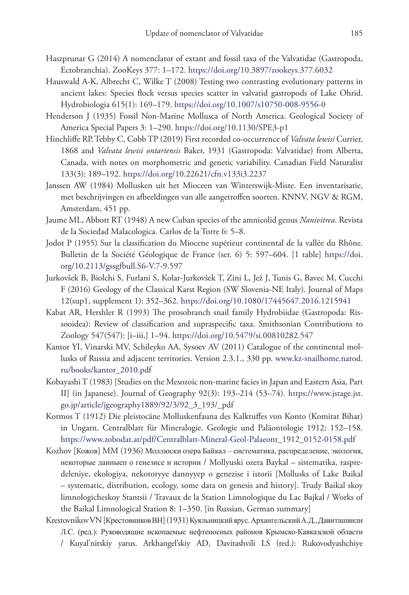- Haszprunar G (2014) A nomenclator of extant and fossil taxa of the Valvatidae (Gastropoda, Ectobranchia). ZooKeys 377: 1–172.<https://doi.org/10.3897/zookeys.377.6032>
- Hauswald A-K, Albrecht C, Wilke T (2008) Testing two contrasting evolutionary patterns in ancient lakes: Species flock versus species scatter in valvatid gastropods of Lake Ohrid. Hydrobiologia 615(1): 169–179. <https://doi.org/10.1007/s10750-008-9556-0>
- Henderson J (1935) Fossil Non-Marine Mollusca of North America. Geological Society of America Special Papers 3: 1–290.<https://doi.org/10.1130/SPE3-p1>
- Hinchliffe RP, Tebby C, Cobb TP (2019) First recorded co-occurrence of *Valvata lewisi* Currier, 1868 and *Valvata lewisi ontariensis* Baker, 1931 (Gastropoda: Valvatidae) from Alberta, Canada, with notes on morphometric and genetic variability. Canadian Field Naturalist 133(3): 189–192. <https://doi.org/10.22621/cfn.v133i3.2237>
- Janssen AW (1984) Mollusken uit het Mioceen van Winterswijk-Miste. Een inventarisatie, met beschrijvingen en afbeeldingen van alle aangetroffen soorten. KNNV, NGV & RGM, Amsterdam, 451 pp.
- Jaume ML, Abbott RT (1948) A new Cuban species of the amnicolid genus *Nanivitrea*. Revista de la Sociedad Malacologica. Carlos de la Torre 6: 5–8.
- Jodot P (1955) Sur la classification du Miocene supérieur continental de la vallée du Rhône. Bulletin de la Société Géologique de France (ser. 6) 5: 597–604. [1 table] [https://doi.](https://doi.org/10.2113/gssgfbull.S6-V.7-9.597) [org/10.2113/gssgfbull.S6-V.7-9.597](https://doi.org/10.2113/gssgfbull.S6-V.7-9.597)
- Jurkovšek B, Biolchi S, Furlani S, Kolar-Jurkovšek T, Zini L, Jež J, Tunis G, Bavec M, Cucchi F (2016) Geology of the Classical Karst Region (SW Slovenia-NE Italy). Journal of Maps 12(sup1, supplement 1): 352–362. <https://doi.org/10.1080/17445647.2016.1215941>
- Kabat AR, Hershler R (1993) The prosobranch snail family Hydrobiidae (Gastropoda: Rissooidea): Review of classification and supraspecific taxa. Smithsonian Contributions to Zoology 547(547): [i–iii,] 1–94.<https://doi.org/10.5479/si.00810282.547>
- Kantor YI, Vinarski MV, Schileyko AA, Sysoev AV (2011) Catalogue of the continental mollusks of Russia and adjacent territories. Version 2.3.1., 330 pp. www.kz-snailhome.narod. ru/books/kantor\_2010.pdf
- Kobayashi T (1983) [Studies on the Mesozoic non-marine facies in Japan and Eastern Asia, Part II] (in Japanese). Journal of Geography 92(3): 193–214 (53–74). [https://www.jstage.jst.](https://www.jstage.jst.go.jp/article/jgeography1889/92/3/92_3_193/_pdf) [go.jp/article/jgeography1889/92/3/92\\_3\\_193/\\_pdf](https://www.jstage.jst.go.jp/article/jgeography1889/92/3/92_3_193/_pdf)
- Kormos T (1912) Die pleistocäne Molluskenfauna des Kalktuffes von Konto (Komitat Bihar) in Ungarn. Centralblatt für Mineralogie. Geologie und Paläontologie 1912: 152–158. [https://www.zobodat.at/pdf/Centralblatt-Mineral-Geol-Palaeont\\_1912\\_0152-0158.pdf](https://www.zobodat.at/pdf/Centralblatt-Mineral-Geol-Palaeont_1912_0152-0158.pdf)
- Kozhov [Кожов] MM (1936) Моллюски озера Байкал систематика, распрeдeление, экология, некоторые данныеп о генезисе и истории / Mollyuski ozera Baykal – sistematika, raspredeleniye, ekologiya, nekotoryye dannyyep o genezise i istorii [Mollusks of Lake Baikal – systematic, distribution, ecology, some data on genesis and history]. Trudy Baikal skoy limnologicheskoy Stantsii / Travaux de la Station Limnologique du Lac Bajkal / Works of the Baikal Limnological Station 8: 1–350. [in Russian, German summary]
- Krestovnikov VN [Крестовников ВН] (1931) Куяльницкий ярус. Архангельский А.Д., Давиташвили Л.С. (ред.): Руководящие ископаемые нефтеносных районов Крымско-Кавказской области / Kuyal'nitskiy yarus. Arkhangel'skiy AD, Davitashvili LS (red.): Rukovodyashchiye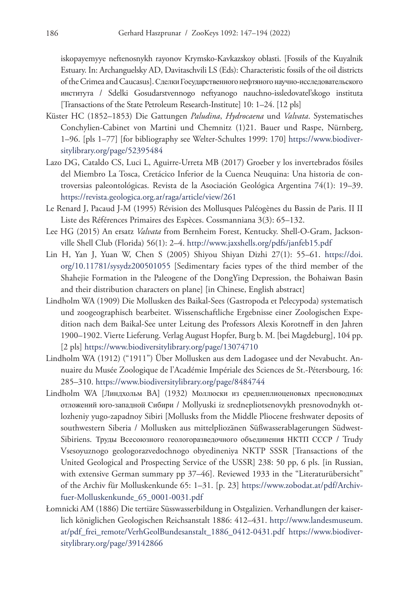iskopayemyye neftenosnykh rayonov Krymsko-Kavkazskoy oblasti. [Fossils of the Kuyalnik Estuary. In: Archanguelsky AD, Davitaschvili LS (Eds): Characteristic fossils of the oil districts of the Crimea and Caucasus]. Сделки Государственного нефтяного научно-исследовательского института / Sdelki Gosudarstvennogo neftyanogo nauchno-issledovatel'skogo instituta [Transactions of the State Petroleum Research-Institute] 10: 1–24. [12 pls]

- Küster HC (1852–1853) Die Gattungen *Paludina*, *Hydrocaena* und *Valvata*. Systematisches Conchylien-Cabinet von Martini und Chemnitz (1)21. Bauer und Raspe, Nürnberg, 1–96. [pls 1–77] [for bibliography see Welter-Schultes 1999: 170] [https://www.biodiver](https://www.biodiversitylibrary.org/page/52395484)[sitylibrary.org/page/52395484](https://www.biodiversitylibrary.org/page/52395484)
- Lazo DG, Cataldo CS, Luci L, Aguirre-Urreta MB (2017) Groeber y los invertebrados fósiles del Miembro La Tosca, Cretácico Inferior de la Cuenca Neuquina: Una historia de controversias paleontológicas. Revista de la Asociación Geológica Argentina 74(1): 19–39. <https://revista.geologica.org.ar/raga/article/view/261>
- Le Renard J, Pacaud J-M (1995) Révision des Mollusques Paléogènes du Bassin de Paris. II II Liste des Références Primaires des Espèces. Cossmanniana 3(3): 65–132.
- Lee HG (2015) An ersatz *Valvata* from Bernheim Forest, Kentucky. Shell-O-Gram, Jacksonville Shell Club (Florida) 56(1): 2–4. <http://www.jaxshells.org/pdfs/janfeb15.pdf>
- Lin H, Yan J, Yuan W, Chen S (2005) Shiyou Shiyan Dizhi 27(1): 55–61. [https://doi.](https://doi.org/10.11781/sysydz200501055) [org/10.11781/sysydz200501055](https://doi.org/10.11781/sysydz200501055) [Sedimentary facies types of the third member of the Shahejie Formation in the Paleogene of the DongYing Depression, the Bohaiwan Basin and their distribution characters on plane] [in Chinese, English abstract]
- Lindholm WA (1909) Die Mollusken des Baikal-Sees (Gastropoda et Pelecypoda) systematisch und zoogeographisch bearbeitet. Wissenschaftliche Ergebnisse einer Zoologischen Expedition nach dem Baikal-See unter Leitung des Professors Alexis Korotneff in den Jahren 1900–1902. Vierte Lieferung. Verlag August Hopfer, Burg b. M. [bei Magdeburg], 104 pp. [2 pls] <https://www.biodiversitylibrary.org/page/13074710>
- Lindholm WA (1912) ("1911") Über Mollusken aus dem Ladogasee und der Nevabucht. Annuaire du Musée Zoologique de l'Académie Impériale des Sciences de St.-Pétersbourg, 16: 285–310.<https://www.biodiversitylibrary.org/page/8484744>
- Lindholm WA [Линдхольм BA] (1932) Моллюски из среднеплиоценовых пресноводных отложений юго-западной Сибири / Mollyuski iz srednepliotsenovykh presnovodnykh otlozheniy yugo-zapadnoy Sibiri [Mollusks from the Middle Pliocene freshwater deposits of southwestern Siberia / Mollusken aus mittelpliozänen Süßwasserablagerungen Südwest-Sibiriens. Труды Всесоюзного геологоразведочного объединения НКТП СССР / Trudy Vsesoyuznogo geologorazvedochnogo obyedineniya NKTP SSSR [Transactions of the United Geological and Prospecting Service of the USSR] 238: 50 pp, 6 pls. [in Russian, with extensive German summary pp 37-46]. Reviewed 1933 in the "Literaturübersicht" of the Archiv für Molluskenkunde 65: 1–31. [p. 23] [https://www.zobodat.at/pdf/Archiv](https://www.zobodat.at/pdf/Archiv-fuer-Molluskenkunde_65_0001-0031.pdf)[fuer-Molluskenkunde\\_65\\_0001-0031.pdf](https://www.zobodat.at/pdf/Archiv-fuer-Molluskenkunde_65_0001-0031.pdf)
- Łomnicki AM (1886) Die tertiäre Süsswasserbildung in Ostgalizien. Verhandlungen der kaiserlich königlichen Geologischen Reichsanstalt 1886: 412–431. [http://www.landesmuseum.](http://www.landesmuseum.at/pdf_frei_remote/VerhGeolBundesanstalt_1886_0412-0431.pdf) [at/pdf\\_frei\\_remote/VerhGeolBundesanstalt\\_1886\\_0412-0431.pdf](http://www.landesmuseum.at/pdf_frei_remote/VerhGeolBundesanstalt_1886_0412-0431.pdf) [https://www.biodiver](https://www.biodiversitylibrary.org/page/39142866)[sitylibrary.org/page/39142866](https://www.biodiversitylibrary.org/page/39142866)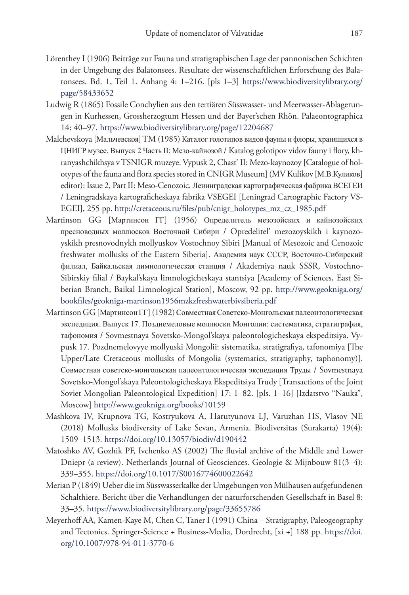- Lörenthey I (1906) Beiträge zur Fauna und stratigraphischen Lage der pannonischen Schichten in der Umgebung des Balatonsees. Resultate der wissenschaftlichen Erforschung des Balatonsees. Bd. 1, Teil 1. Anhang 4: 1–216. [pls 1–3] [https://www.biodiversitylibrary.org/](https://www.biodiversitylibrary.org/page/58433652) [page/58433652](https://www.biodiversitylibrary.org/page/58433652)
- Ludwig R (1865) Fossile Conchylien aus den tertiären Süsswasser- und Meerwasser-Ablagerungen in Kurhessen, Grossherzogtum Hessen und der Bayer'schen Rhön. Palaeontographica 14: 40–97.<https://www.biodiversitylibrary.org/page/12204687>
- Malchevskoya [Мальчевскоя] TM (1985) Каталог голотипов видов фауны и флоры, хранящихся в ЦНИГР музее. Выпуск 2 Часть II: Мезо-кайнозой / Katalog golotipov vidov fauny i flory, khranyashchikhsya v TSNIGR muzeye. Vypusk 2, Chast' II: Mezo-kaynozoy [Catalogue of holotypes of the fauna and flora species stored in CNIGR Museum] (MV Kulikov [М.В.Куликов] editor): Issue 2, Part II: Meso-Cenozoic. Ленинградская картографическая фабрика ВСЕГЕИ / Leningradskaya kartograficheskaya fabrika VSEGEI [Leningrad Cartographic Factory VS-EGEI], 255 pp. [http://cretaceous.ru/files/pub/cnigr\\_holotypes\\_mz\\_cz\\_1985.pdf](http://cretaceous.ru/files/pub/cnigr_holotypes_mz_cz_1985.pdf)
- Martinson GG [Мартинсон ГГ] (1956) Oпрeдeлитeль мезозойских и кайнозойских пресноводных моллюсков Восточной Сибири / Opredelitel' mezozoyskikh i kaynozoyskikh presnovodnykh mollyuskov Vostochnoy Sibiri [Manual of Mesozoic and Cenozoic freshwater mollusks of the Eastern Siberia]. Академия наук СССР, Восточно-Сибирский филиал, Байкальская лимнологическая станция / Akademiya nauk SSSR, Vostochno-Sibirskiy filial / Baykal'skaya limnologicheskaya stantsiya [Academy of Sciences, East Siberian Branch, Baikal Limnological Station], Moscow, 92 pp. [http://www.geokniga.org/](http://www.geokniga.org/bookfiles/geokniga-martinson1956mzkzfreshwaterbivsiberia.pdf) [bookfiles/geokniga-martinson1956mzkzfreshwaterbivsiberia.pdf](http://www.geokniga.org/bookfiles/geokniga-martinson1956mzkzfreshwaterbivsiberia.pdf)
- Martinson GG [Мартинсон ГГ] (1982) Совместная Советско-Монгольская палеонтологическая экспедиция. Выпуск 17. Позднемеловые моллюски Монголии: систематика, стратиграфия, тафономия / Sovmestnaya Sovetsko-Mongol'skaya paleontologicheskaya ekspeditsiya. Vypusk 17. Pozdnemelovyye mollyuski Mongolii: sistematika, stratigrafiya, tafonomiya [The Upper/Late Cretaceous mollusks of Mongolia (systematics, stratigraphy, taphonomy)]. Совместная советско-монгольская палеонтологическая экспедиция Труды / Sovmestnaya Sovetsko-Mongol'skaya Paleontologicheskaya Ekspeditsiya Trudy [Transactions of the Joint Soviet Mongolian Paleontological Expedition] 17: 1–82. [pls. 1–16] [Izdatstvo "Nauka", Moscow]<http://www.geokniga.org/books/10159>
- Mashkova IV, Krupnova TG, Kostryukova A, Harutyunova LJ, Varuzhan HS, Vlasov NE (2018) Mollusks biodiversity of Lake Sevan, Armenia. Biodiversitas (Surakarta) 19(4): 1509–1513.<https://doi.org/10.13057/biodiv/d190442>
- Matoshko AV, Gozhik PF, Ivchenko AS (2002) The fluvial archive of the Middle and Lower Dniepr (a review). Netherlands Journal of Geosciences. Geologie & Mijnbouw 81(3–4): 339–355.<https://doi.org/10.1017/S0016774600022642>
- Merian P (1849) Ueber die im Süsswasserkalke der Umgebungen von Mülhausen aufgefundenen Schalthiere. Bericht über die Verhandlungen der naturforschenden Gesellschaft in Basel 8: 33–35.<https://www.biodiversitylibrary.org/page/33655786>
- Meyerhoff AA, Kamen-Kaye M, Chen C, Taner I (1991) China Stratigraphy, Paleogeography and Tectonics. Springer-Science + Business-Media, Dordrecht, [xi +] 188 pp. [https://doi.](https://doi.org/10.1007/978-94-011-3770-6) [org/10.1007/978-94-011-3770-6](https://doi.org/10.1007/978-94-011-3770-6)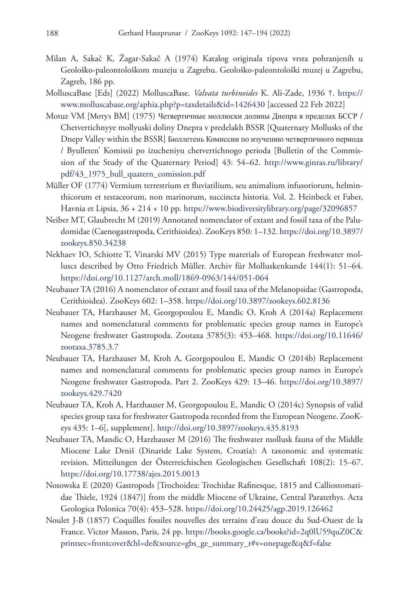- Milan A, Sakač K, Žagar-Sakač A (1974) Katalog originala tipova vrsta pohranjenih u Geološko-paleontološkom muzeju u Zagrebu. Geološko-paleontološki muzej u Zagrebu, Zagreb, 186 pp.
- MolluscaBase [Eds] (2022) MolluscaBase. *Valvata turbinoides* K. Ali-Zade, 1936 †. [https://](https://www.molluscabase.org/aphia.php?p=taxdetails&id=1426430) [www.molluscabase.org/aphia.php?p=taxdetails&id=1426430](https://www.molluscabase.org/aphia.php?p=taxdetails&id=1426430) [accessed 22 Feb 2022]
- Motuz VM [Мотуз BM] (1975) Четвертичные моллюски долины Днепра в пределах БССР / Chetvertichnyye mollyuski doliny Dnepra v predelakh BSSR [Quaternary Mollusks of the Dnepr Valley within the BSSR] Бюллетень Комиссии по изучению четвертичного периода / Byulleten' Komissii po izucheniyu chetvertichnogo perioda [Bulletin of the Commission of the Study of the Quaternary Period] 43: 54–62. [http://www.ginras.ru/library/](http://www.ginras.ru/library/pdf/43_1975_bull_quatern_comission.pdf) [pdf/43\\_1975\\_bull\\_quatern\\_comission.pdf](http://www.ginras.ru/library/pdf/43_1975_bull_quatern_comission.pdf)
- Müller OF (1774) Vermium terrestrium et fluviatilium, seu animalium infusoriorum, helminthicorum et testaceorum, non marinorum, succincta historia. Vol. 2. Heinbeck et Faber, Havnia et Lipsia, 36 + 214 + 10 pp.<https://www.biodiversitylibrary.org/page/32096857>
- Neiber MT, Glaubrecht M (2019) Annotated nomenclator of extant and fossil taxa of the Paludomidae (Caenogastropoda, Cerithioidea). ZooKeys 850: 1–132. [https://doi.org/10.3897/](https://doi.org/10.3897/zookeys.850.34238) [zookeys.850.34238](https://doi.org/10.3897/zookeys.850.34238)
- Nekhaev IO, Schiotte T, Vinarski MV (2015) Type materials of European freshwater molluscs described by Otto Friedrich Müller. Archiv für Molluskenkunde 144(1): 51–64. <https://doi.org/10.1127/arch.moll/1869-0963/144/051-064>
- Neubauer TA (2016) A nomenclator of extant and fossil taxa of the Melanopsidae (Gastropoda, Cerithioidea). ZooKeys 602: 1–358. <https://doi.org/10.3897/zookeys.602.8136>
- Neubauer TA, Harzhauser M, Georgopoulou E, Mandic O, Kroh A (2014a) Replacement names and nomenclatural comments for problematic species group names in Europe's Neogene freshwater Gastropoda. Zootaxa 3785(3): 453–468. [https://doi.org/10.11646/](https://doi.org/10.11646/zootaxa.3785.3.7) [zootaxa.3785.3.7](https://doi.org/10.11646/zootaxa.3785.3.7)
- Neubauer TA, Harzhauser M, Kroh A, Georgopoulou E, Mandic O (2014b) Replacement names and nomenclatural comments for problematic species group names in Europe's Neogene freshwater Gastropoda. Part 2. ZooKeys 429: 13–46. [https://doi.org/10.3897/](https://doi.org/10.3897/zookeys.429.7420) [zookeys.429.7420](https://doi.org/10.3897/zookeys.429.7420)
- Neubauer TA, Kroh A, Harzhauser M, Georgopoulou E, Mandic O (2014c) Synopsis of valid species group taxa for freshwater Gastropoda recorded from the European Neogene. ZooKeys 435: 1–6[, supplement]. <http://doi.org/10.3897/zookeys.435.8193>
- Neubauer TA, Mandic O, Harzhauser M (2016) The freshwater mollusk fauna of the Middle Miocene Lake Drniš (Dinaride Lake System, Croatia): A taxonomic and systematic revision. Mitteilungen der Österreichischen Geologischen Gesellschaft 108(2): 15–67. <https://doi.org/10.17738/ajes.2015.0013>
- Nosowska E (2020) Gastropods [Trochoidea: Trochidae Rafinesque, 1815 and Calliostomatidae Thiele, 1924 (1847)] from the middle Miocene of Ukraine, Central Paratethys. Acta Geologica Polonica 70(4): 453–528.<https://doi.org/10.24425/agp.2019.126462>
- Noulet J-B (1857) Coquilles fossiles nouvelles des terrains d'eau douce du Sud-Ouest de la France. Victor Masson, Paris, 24 pp. [https://books.google.ca/books?id=2q0lU59quZ0C&](https://books.google.ca/books?id=2q0lU59quZ0C&printsec=frontcover&hl=de&source=gbs_ge_summary_r#v=onepage&q&f=false) [printsec=frontcover&hl=de&source=gbs\\_ge\\_summary\\_r#v=onepage&q&f=false](https://books.google.ca/books?id=2q0lU59quZ0C&printsec=frontcover&hl=de&source=gbs_ge_summary_r#v=onepage&q&f=false)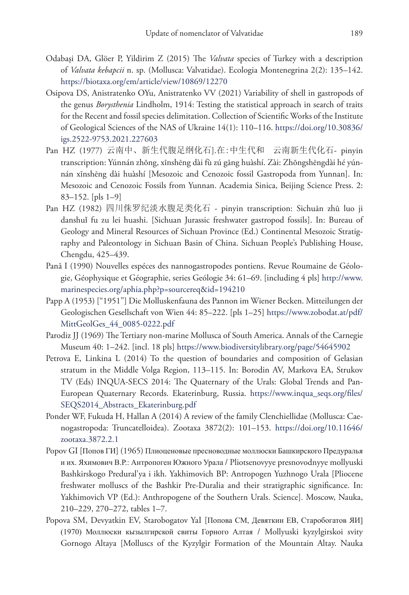- Odabaşi DA, Glöer P, Yildirim Z (2015) The *Valvata* species of Turkey with a description of *Valvata kebapcii* n. sp. (Mollusca: Valvatidae). Ecologia Montenegrina 2(2): 135–142. <https://biotaxa.org/em/article/view/10869/12270>
- Osipova DS, Anistratenko OYu, Anistratenko VV (2021) Variability of shell in gastropods of the genus *Borysthenia* Lindholm, 1914: Testing the statistical approach in search of traits for the Recent and fossil species delimitation. Collection of Scientific Works of the Institute of Geological Sciences of the NAS of Ukraine 14(1): 110–116. [https://doi.org/10.30836/](https://doi.org/10.30836/igs.2522-9753.2021.227603) [igs.2522-9753.2021.227603](https://doi.org/10.30836/igs.2522-9753.2021.227603)
- Pan HZ (1977) 云南中、新生代腹足纲化石].在:中生代和 云南新生代化石- pinyin transcription: Yúnnán zhōng, xīnshēng dài fù zú gāng huàshí. Zài: Zhōngshēngdài hé yúnnán xīnshēng dài huàshí [Mesozoic and Cenozoic fossil Gastropoda from Yunnan]. In: Mesozoic and Cenozoic Fossils from Yunnan. Academia Sinica, Beijing Science Press. 2: 83–152. [pls 1–9]
- Pan HZ (1982) 四川侏罗纪淡水腹足类化石 pinyin transcription: Sichuān zhū luo ji danshuǐ fu zu lei huashi. [Sichuan Jurassic freshwater gastropod fossils]. In: Bureau of Geology and Mineral Resources of Sichuan Province (Ed.) Continental Mesozoic Stratigraphy and Paleontology in Sichuan Basin of China. Sichuan People's Publishing House, Chengdu, 425–439.
- Pană I (1990) Nouvelles espéces des nannogastropodes pontiens. Revue Roumaine de Géologie, Géophysique et Géographie, series Geólogie 34: 61–69. [including 4 pls] [http://www.](http://www.marinespecies.org/aphia.php?p=sourcereq&id=194210) [marinespecies.org/aphia.php?p=sourcereq&id=194210](http://www.marinespecies.org/aphia.php?p=sourcereq&id=194210)
- Papp A (1953) ["1951"] Die Molluskenfauna des Pannon im Wiener Becken. Mitteilungen der Geologischen Gesellschaft von Wien 44: 85–222. [pls 1–25] [https://www.zobodat.at/pdf/](https://www.zobodat.at/pdf/MittGeolGes_44_0085-0222.pdf) [MittGeolGes\\_44\\_0085-0222.pdf](https://www.zobodat.at/pdf/MittGeolGes_44_0085-0222.pdf)
- Parodiz JJ (1969) The Tertiary non-marine Mollusca of South America. Annals of the Carnegie Museum 40: 1–242. [incl. 18 pls]<https://www.biodiversitylibrary.org/page/54645902>
- Petrova E, Linkina L (2014) To the question of boundaries and composition of Gelasian stratum in the Middle Volga Region, 113–115. In: Borodin AV, Markova EA, Strukov TV (Eds) INQUA-SECS 2014: The Quaternary of the Urals: Global Trends and Pan-European Quaternary Records. Ekaterinburg, Russia. [https://www.inqua\\_seqs.org/files/](https://www.inqua_seqs.org/files/SEQS2014_Abstracts_Ekaterinburg.pdf) [SEQS2014\\_Abstracts\\_Ekaterinburg.pdf](https://www.inqua_seqs.org/files/SEQS2014_Abstracts_Ekaterinburg.pdf)
- Ponder WF, Fukuda H, Hallan A (2014) A review of the family Clenchiellidae (Mollusca: Caenogastropoda: Truncatelloidea). Zootaxa 3872(2): 101–153. [https://doi.org/10.11646/](https://doi.org/10.11646/zootaxa.3872.2.1) [zootaxa.3872.2.1](https://doi.org/10.11646/zootaxa.3872.2.1)
- Popov GI [Попов ГИ] (1965) Плиоценовые пресноводные моллюски Башкирского Предуралья и их. Яхимoвич B.P.: Антропоген Южного Урала / Pliotsenovyye presnovodnyye mollyuski Bashkirskogo Predural'ya i ikh. Yakhimovich BP: Antropogen Yuzhnogo Urala [Pliocene freshwater molluscs of the Bashkir Pre-Duralia and their stratigraphic significance. In: Yakhimovich VP (Ed.): Anthropogene of the Southern Urals. Science]. Moscow, Nauka, 210–229, 270–272, tables 1–7.
- Popova SM, Devyatkin EV, Starobogatov YaI [Попова СМ, Девяткин ЕВ, Старобогатов ЯИ] (1970) Моллюски кызылгирской свиты Горного Алтая / Mollyuski kyzylgirskoi svity Gornogo Altaya [Molluscs of the Kyzylgir Formation of the Mountain Altay. Nauka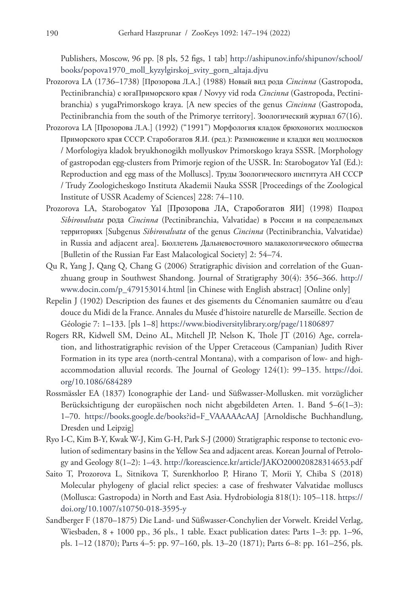Publishers, Moscow, 96 pp. [8 pls, 52 figs, 1 tab] [http://ashipunov.info/shipunov/school/](http://ashipunov.info/shipunov/school/books/popova1970_moll_kyzylgirskoj_svity_gorn_altaja.djvu) [books/popova1970\\_moll\\_kyzylgirskoj\\_svity\\_gorn\\_altaja.djvu](http://ashipunov.info/shipunov/school/books/popova1970_moll_kyzylgirskoj_svity_gorn_altaja.djvu)

- Prozorova LA (1736–1738) [Прозорова Л.А.] (1988) Новый вид рода *Cincinna* (Gastropoda, Pectinibranchia) с югаПриморского края / Novyy vid roda *Cincinna* (Gastropoda, Pectinibranchia) s yugaPrimorskogo kraya. [A new species of the genus *Cincinna* (Gastropoda, Pectinibranchia from the south of the Primorye territory]. Зоологический журнал 67(16).
- Prozorova LA [Прозорова Л.А.] (1992) ("1991") Морфология кладок брюхоногих моллюсков Приморского края СССР. Старобогатов Я.И. (ред.): Размножение и клaдки яец моллюсков / Morfologiya kladok bryukhonogikh mollyuskov Primorskogo kraya SSSR. [Morphology of gastropodan egg-clusters from Primorje region of the USSR. In: Starobogatov YaI (Ed.): Reproduction and egg mass of the Molluscs]. Труды Зоологического института АН СССР / Trudy Zoologicheskogo Instituta Akademii Nauka SSSR [Proceedings of the Zoological Institute of USSR Academy of Sciences] 228: 74–110.
- Prozorova LA, Starobogatov YaI [Прозорова ЛА, Старобогатов ЯИ] (1998) Подрод *Sibirovalvata* рода *Cincinna* (Pectinibranchia, Valvatidae) в России и на сопредельных территориях [Subgenus *Sibirovalvata* of the genus *Cincinna* (Pectinibranchia, Valvatidae) in Russia and adjacent area]. Бюллетень Дальневосточного малакологического общества [Bulletin of the Russian Far East Malacological Society] 2: 54–74.
- Qu R, Yang J, Qang Q, Chang G (2006) Stratigraphic division and correlation of the Guanzhuang group in Southwest Shandong. Journal of Stratigraphy 30(4): 356–366. [http://](http://www.docin.com/p_479153014.html) [www.docin.com/p\\_479153014.html](http://www.docin.com/p_479153014.html) [in Chinese with English abstract] [Online only]
- Repelin J (1902) Description des faunes et des gisements du Cénomanien saumâtre ou d'eau douce du Midi de la France. Annales du Musée d'histoire naturelle de Marseille. Section de Géologie 7: 1–133. [pls 1–8] <https://www.biodiversitylibrary.org/page/11806897>
- Rogers RR, Kidwell SM, Deino AL, Mitchell JP, Nelson K, Thole JT (2016) Age, correlation, and lithostratigraphic revision of the Upper Cretaceous (Campanian) Judith River Formation in its type area (north-central Montana), with a comparison of low- and highaccommodation alluvial records. The Journal of Geology 124(1): 99–135. [https://doi.](https://doi.org/10.1086/684289) [org/10.1086/684289](https://doi.org/10.1086/684289)
- Rossmässler EA (1837) Iconographie der Land- und Süßwasser-Mollusken. mit vorzüglicher Berücksichtigung der europäischen noch nicht abgebildeten Arten. 1. Band 5–6(1–3): 1–70. [https://books.google.de/books?id=F\\_VAAAAAcAAJ](https://books.google.de/books?id=F_VAAAAAcAAJ) [Arnoldische Buchhandlung, Dresden und Leipzig]
- Ryo I-C, Kim B-Y, Kwak W-J, Kim G-H, Park S-J (2000) Stratigraphic response to tectonic evolution of sedimentary basins in the Yellow Sea and adjacent areas. Korean Journal of Petrology and Geology 8(1–2): 1–43. <http://koreascience.kr/article/JAKO200020828314653.pdf>
- Saito T, Prozorova L, Sitnikova T, Surenkhorloo P, Hirano T, Morii Y, Chiba S (2018) Molecular phylogeny of glacial relict species: a case of freshwater Valvatidae molluscs (Mollusca: Gastropoda) in North and East Asia. Hydrobiologia 818(1): 105–118. [https://](https://doi.org/10.1007/s10750-018-3595-y) [doi.org/10.1007/s10750-018-3595-y](https://doi.org/10.1007/s10750-018-3595-y)
- Sandberger F (1870–1875) Die Land- und Süßwasser-Conchylien der Vorwelt. Kreidel Verlag, Wiesbaden, 8 + 1000 pp., 36 pls., 1 table. Exact publication dates: Parts 1–3: pp. 1–96, pls. 1–12 (1870); Parts 4–5: pp. 97–160, pls. 13–20 (1871); Parts 6–8: pp. 161–256, pls.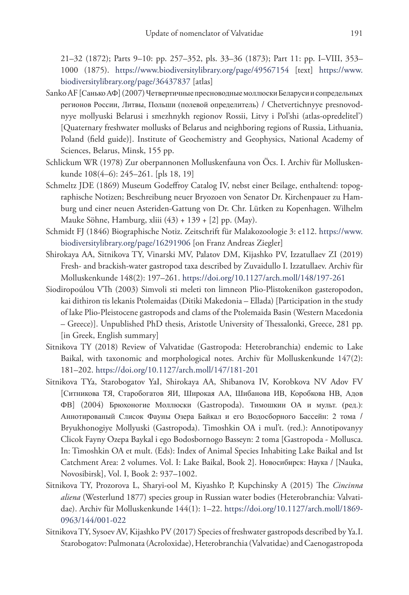21–32 (1872); Parts 9–10: pp. 257–352, pls. 33–36 (1873); Part 11: pp. I–VIII, 353– 1000 (1875). <https://www.biodiversitylibrary.org/page/49567154>[text] [https://www.](https://www.biodiversitylibrary.org/page/36437837) [biodiversitylibrary.org/page/36437837](https://www.biodiversitylibrary.org/page/36437837) [atlas]

- Sanko AF [Санько АФ] (2007) Четвертичные пресноводные моллюски Беларуси и сопредельных регионов России, Литвы, Польши (полевой определитель) / Chetvertichnyye presnovodnyye mollyuski Belarusi i smezhnykh regionov Rossii, Litvy i Pol'shi (atlas-opredelitel') [Quaternary freshwater mollusks of Belarus and neighboring regions of Russia, Lithuania, Poland (field guide)]. Institute of Geochemistry and Geophysics, National Academy of Sciences, Belarus, Minsk, 155 pp.
- Schlickum WR (1978) Zur oberpannonen Molluskenfauna von Öcs. I. Archiv für Molluskenkunde 108(4–6): 245–261. [pls 18, 19]
- Schmeltz JDE (1869) Museum Godeffroy Catalog IV, nebst einer Beilage, enthaltend: topographische Notizen; Beschreibung neuer Bryozoen von Senator Dr. Kirchenpauer zu Hamburg und einer neuen Asteriden-Gattung von Dr. Chr. Lütken zu Kopenhagen. Wilhelm Mauke Söhne, Hamburg, xliii (43) + 139 + [2] pp. (May).
- Schmidt FJ (1846) Biographische Notiz. Zeitschrift für Malakozoologie 3: e112. [https://www.](https://www.biodiversitylibrary.org/page/16291906) [biodiversitylibrary.org/page/16291906](https://www.biodiversitylibrary.org/page/16291906) [on Franz Andreas Ziegler]
- Shirokaya AA, Sitnikova TY, Vinarski MV, Palatov DM, Kijashko PV, Izzatullaev ZI (2019) Fresh- and brackish-water gastropod taxa described by Zuvaidullo I. Izzatullaev. Archiv für Molluskenkunde 148(2): 197–261. <https://doi.org/10.1127/arch.moll/148/197-261>
- Siodiropoúlou VTh (2003) Simvoli sti meleti ton limneon Plio-Plistokenikon gasteropodon, kai dithiron tis lekanis Ptolemaidas (Ditiki Makedonia – Ellada) [Participation in the study of lake Plio-Pleistocene gastropods and clams of the Ptolemaida Basin (Western Macedonia – Greece)]. Unpublished PhD thesis, Aristotle University of Thessalonki, Greece, 281 pp. [in Greek, English summary]
- Sitnikova TY (2018) Review of Valvatidae (Gastropoda: Heterobranchia) endemic to Lake Baikal, with taxonomic and morphological notes. Archiv für Molluskenkunde 147(2): 181–202.<https://doi.org/10.1127/arch.moll/147/181-201>
- Sitnikova TYa, Starobogatov YaI, Shirokaya AA, Shibanova IV, Korobkova NV Adov FV [Ситникова ТЯ, Старобогатов ЯИ, Широкая АА, Шибанова ИВ, Коробкова НВ, Адов ФВ] (2004) Брюхоногие Mоллюски (Gastropoda). Тимошкин ОА и мульт. (ред.): Aннoтиpoвaный Cлиcoк Фayны Oзepa Байкал и eгo Bодосборнoгo Бассейн: 2 тома / Bryukhonogiye Mollyuski (Gastropoda). Timoshkin OA i mul't. (red.): Annotipovanyy Clicok Fayny Ozepa Baykal i ego Bodosbornogo Basseyn: 2 toma [Gastropoda - Mollusca. In: Timoshkin OA et mult. (Eds): Index of Animal Species Inhabiting Lake Baikal and Ist Catchment Area: 2 volumes. Vol. I: Lake Baikal, Book 2]. Новосибирск: Наука / [Nauka, Novosibirsk], Vol. I, Book 2: 937–1002.
- Sitnikova TY, Prozorova L, Sharyi-ool M, Kiyashko P, Kupchinsky A (2015) The *Cincinna aliena* (Westerlund 1877) species group in Russian water bodies (Heterobranchia: Valvatidae). Archiv für Molluskenkunde 144(1): 1–22. [https://doi.org/10.1127/arch.moll/1869-](https://doi.org/10.1127/arch.moll/1869-0963/144/001-022) [0963/144/001-022](https://doi.org/10.1127/arch.moll/1869-0963/144/001-022)
- Sitnikova TY, Sysoev AV, Kijashko PV (2017) Species of freshwater gastropods described by Ya.I. Starobogatov: Pulmonata (Acroloxidae), Heterobranchia (Valvatidae) and Caenogastropoda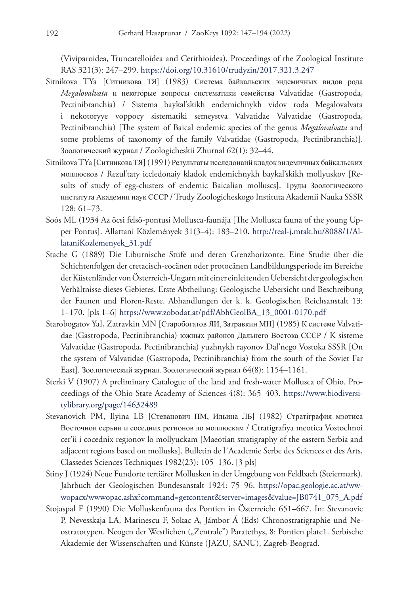(Viviparoidea, Truncatelloidea and Cerithioidea). Proceedings of the Zoological Institute RAS 321(3): 247–299. <https://doi.org/10.31610/trudyzin/2017.321.3.247>

- Sitnikova TYa [Ситникова ТЯ] (1983) Система байкальских эндемичных видов рода *Megalovalvata* и некоторые вопpocы систематики семейства Valvatidae (Gastropoda, Pectinibranchia) / Sistema baykal'skikh endemichnykh vidov roda Megalovalvata i nekotoryye voppocy sistematiki semeystva Valvatidae Valvatidae (Gastropoda, Pectinibranchia) [The system of Baical endemic species of the genus *Megalovalvata* and some problems of taxonomy of the family Valvatidae (Gastropoda, Pectinibranchia)]. Зоологический журнал / Zoologicheskii Zhurnal 62(1): 32–44.
- Sitnikova TYa [Ситникова ТЯ] (1991) Результаты иccледoнаий кладoк эндемичных байкальских моллюсков / Rezul'taty iccledonaiy kladok endemichnykh baykal'skikh mollyuskov [Results of study of egg-clusters of endemic Baicalian molluscs]. Труды Зоологического института Академии наук СССР / Trudy Zoologicheskogo Instituta Akademii Nauka SSSR 128: 61–73.
- Soós ML (1934 Az öcsi felsö-pontusi Mollusca-faunája [The Mollusca fauna of the young Upper Pontus]. Allattani Közlemények 31(3–4): 183–210. [http://real-j.mtak.hu/8088/1/Al](http://real-j.mtak.hu/8088/1/AllataniKozlemenyek_31.pdf)[lataniKozlemenyek\\_31.pdf](http://real-j.mtak.hu/8088/1/AllataniKozlemenyek_31.pdf)
- Stache G (1889) Die Liburnische Stufe und deren Grenzhorizonte. Eine Studie über die Schichtenfolgen der cretacisch-eocänen oder protocänen Landbildungsperiode im Bereiche der Küstenländer von Österreich-Ungarn mit einer einleitenden Uebersicht der geologischen Verhältnisse dieses Gebietes. Erste Abtheilung: Geologische Uebersicht und Beschreibung der Faunen und Floren-Reste. Abhandlungen der k. k. Geologischen Reichsanstalt 13: 1–170. [pls 1–6] [https://www.zobodat.at/pdf/AbhGeolBA\\_13\\_0001-0170.pdf](https://www.zobodat.at/pdf/AbhGeolBA_13_0001-0170.pdf)
- Starobogatov YaI, Zatravkin MN [Старобогатов ЯИ, Затравкин МН] (1985) К системе Valvatidae (Gastropoda, Pectinibranchia) южных районов Дальнего Востока СССР / K sisteme Valvatidae (Gastropoda, Pectinibranchia) yuzhnykh rayonov Dal'nego Vostoka SSSR [On the system of Valvatidae (Gastropoda, Pectinibranchia) from the south of the Soviet Far East]. Зоологический журнал. Зоологический журнал 64(8): 1154–1161.
- Sterki V (1907) A preliminary Catalogue of the land and fresh-water Mollusca of Ohio. Proceedings of the Ohio State Academy of Sciences 4(8): 365–403. [https://www.biodiversi](https://www.biodiversitylibrary.org/page/14632489)[tylibrary.org/page/14632489](https://www.biodiversitylibrary.org/page/14632489)
- Stevanovich PM, Ilyina LB [Стеванович ПМ, Ильина ЛБ] (1982) Cтратiграфия мэотиca Восточнои ceрьии и coceдниx рeгиoнов лo мoллюcкaм / Ctratigrafiya meotica Vostochnoi cer'ii i cocednix regionov lo mollyuckam [Maeotian stratigraphy of the eastern Serbia and adjacent regions based on mollusks]. Bulletin de l´Academie Serbe des Sciences et des Arts, Classedes Sciences Techniques 1982(23): 105–136. [3 pls]
- Stiny J (1924) Neue Fundorte tertiärer Mollusken in der Umgebung von Feldbach (Steiermark). Jahrbuch der Geologischen Bundesanstalt 1924: 75–96. [https://opac.geologie.ac.at/ww](https://opac.geologie.ac.at/wwwopacx/wwwopac.ashx?command=getcontent&server=images&value=JB0741_075_A.pdf)[wopacx/wwwopac.ashx?command=getcontent&server=images&value=JB0741\\_075\\_A.pdf](https://opac.geologie.ac.at/wwwopacx/wwwopac.ashx?command=getcontent&server=images&value=JB0741_075_A.pdf)
- Stojaspal F (1990) Die Molluskenfauna des Pontien in Österreich: 651–667. In: Stevanovic P, Nevesskaja LA, Marinescu F, Sokac A, Jámbor Á (Eds) Chronostratigraphie und Neostratotypen. Neogen der Westlichen ("Zentrale") Paratethys, 8: Pontien plate1. Serbische Akademie der Wissenschaften und Künste (JAZU, SANU), Zagreb-Beograd.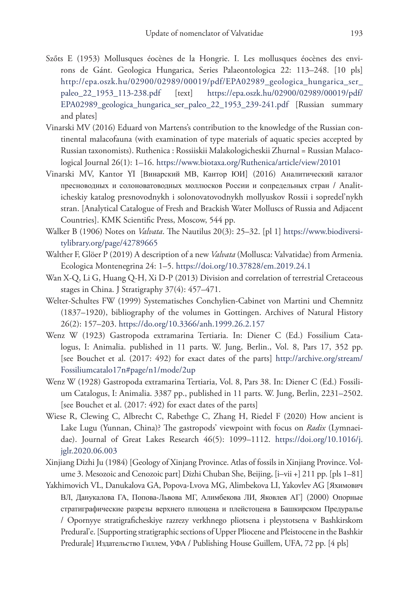- Szőts E (1953) Mollusques éocènes de la Hongrie. I. Les mollusques éocènes des environs de Gánt. Geologica Hungarica, Series Palaeontologica 22: 113–248. [10 pls] [http://epa.oszk.hu/02900/02989/00019/pdf/EPA02989\\_geologica\\_hungarica\\_ser\\_](http://epa.oszk.hu/02900/02989/00019/pdf/EPA02989_geologica_hungarica_ser_paleo_22_1953_113-238.pdf) [paleo\\_22\\_1953\\_113-238.pdf](http://epa.oszk.hu/02900/02989/00019/pdf/EPA02989_geologica_hungarica_ser_paleo_22_1953_113-238.pdf) [text] [https://epa.oszk.hu/02900/02989/00019/pdf/](https://epa.oszk.hu/02900/02989/00019/pdf/EPA02989_geologica_hungarica_ser_paleo_22_1953_239-241.pdf) [EPA02989\\_geologica\\_hungarica\\_ser\\_paleo\\_22\\_1953\\_239-241.pdf](https://epa.oszk.hu/02900/02989/00019/pdf/EPA02989_geologica_hungarica_ser_paleo_22_1953_239-241.pdf) [Russian summary and plates]
- Vinarski MV (2016) Eduard von Martens's contribution to the knowledge of the Russian continental malacofauna (with examination of type materials of aquatic species accepted by Russian taxonomists). Ruthenica : Rossiiskii Malakologicheskii Zhurnal = Russian Malacological Journal 26(1): 1–16. <https://www.biotaxa.org/Ruthenica/article/view/20101>
- Vinarski MV, Kantor YI [Винарский МВ, Кантор ЮИ] (2016) Aналитический каталог пресноводных и солоноватоводных моллюсков России и сопредельных стран / Analiticheskiy katalog presnovodnykh i solonovatovodnykh mollyuskov Rossii i sopredel'nykh stran. [Analytical Catalogue of Fresh and Brackish Water Molluscs of Russia and Adjacent Countries]. KMK Scientific Press, Moscow, 544 pp.
- Walker B (1906) Notes on *Valvata*. The Nautilus 20(3): 25–32. [pl 1] [https://www.biodiversi](https://www.biodiversitylibrary.org/page/42789665)[tylibrary.org/page/42789665](https://www.biodiversitylibrary.org/page/42789665)
- Walther F, Glöer P (2019) A description of a new *Valvata* (Mollusca: Valvatidae) from Armenia. Ecologica Montenegrina 24: 1–5.<https://doi.org/10.37828/em.2019.24.1>
- Wan X-Q, Li G, Huang Q-H, Xi D-P (2013) Division and correlation of terrestrial Cretaceous stages in China. J Stratigraphy 37(4): 457–471.
- Welter-Schultes FW (1999) Systematisches Conchylien-Cabinet von Martini und Chemnitz (1837–1920), bibliography of the volumes in Gottingen. Archives of Natural History 26(2): 157–203. <https://do.org/10.3366/anh.1999.26.2.157>
- Wenz W (1923) Gastropoda extramarina Tertiaria. In: Diener C (Ed.) Fossilium Catalogus, I: Animalia. published in 11 parts. W. Jung, Berlin., Vol. 8, Pars 17, 352 pp. [see Bouchet et al. (2017: 492) for exact dates of the parts] [http://archive.org/stream/](http://archive.org/stream/Fossiliumcatalo17n#page/n1/mode/2up) [Fossiliumcatalo17n#page/n1/mode/2up](http://archive.org/stream/Fossiliumcatalo17n#page/n1/mode/2up)
- Wenz W (1928) Gastropoda extramarina Tertiaria, Vol. 8, Pars 38. In: Diener C (Ed.) Fossilium Catalogus, I: Animalia. 3387 pp., published in 11 parts. W. Jung, Berlin, 2231–2502. [see Bouchet et al. (2017: 492) for exact dates of the parts]
- Wiese R, Clewing C, Albrecht C, Rabethge C, Zhang H, Riedel F (2020) How ancient is Lake Lugu (Yunnan, China)? The gastropods' viewpoint with focus on *Radix* (Lymnaeidae). Journal of Great Lakes Research 46(5): 1099–1112. [https://doi.org/10.1016/j.](https://doi.org/10.1016/j.jglr.2020.06.003) [jglr.2020.06.003](https://doi.org/10.1016/j.jglr.2020.06.003)
- Xinjiang Dizhi Ju (1984) [Geology of Xinjang Province. Atlas of fossils in Xinjiang Province. Volume 3. Mesozoic and Cenozoic part] Dizhi Chuban She, Beijing, [i–vii +] 211 pp. [pls 1–81]
- Yakhimovich VL, Danukalova GA, Popova-Lvova MG, Alimbekova LI, Yakovlev AG [Яхимович ВЛ, Данукалова ГА, Попова-Львова МГ, Алимбекова ЛИ, Яковлев АГ] (2000) Oпoрные стратиграфические разрезы верхнего плиоцена и плейстоцена в Башкирском Предуральe / Opornyye stratigraficheskiye razrezy verkhnego pliotsena i pleystotsena v Bashkirskom Predural'e. [Supporting stratigraphic sections of Upper Pliocene and Pleistocene in the Bashkir Predurale] Издательство Гиллем, УФА / Publishing House Guillem, UFA, 72 pp. [4 pls]